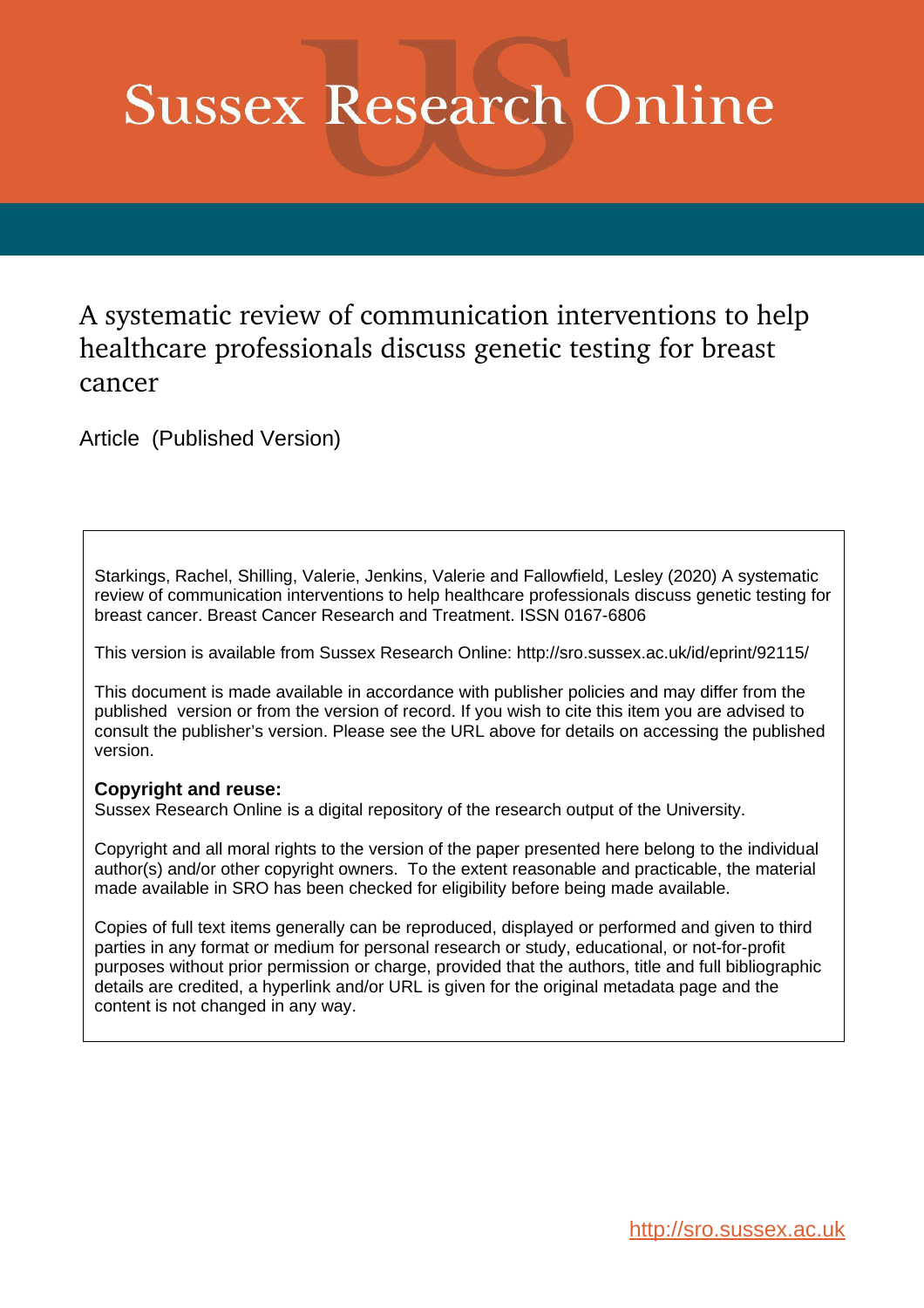# **Sussex Research Online**

# A systematic review of communication interventions to help healthcare professionals discuss genetic testing for breast cancer

Article (Published Version)

Starkings, Rachel, Shilling, Valerie, Jenkins, Valerie and Fallowfield, Lesley (2020) A systematic review of communication interventions to help healthcare professionals discuss genetic testing for breast cancer. Breast Cancer Research and Treatment. ISSN 0167-6806

This version is available from Sussex Research Online: http://sro.sussex.ac.uk/id/eprint/92115/

This document is made available in accordance with publisher policies and may differ from the published version or from the version of record. If you wish to cite this item you are advised to consult the publisher's version. Please see the URL above for details on accessing the published version.

# **Copyright and reuse:**

Sussex Research Online is a digital repository of the research output of the University.

Copyright and all moral rights to the version of the paper presented here belong to the individual author(s) and/or other copyright owners. To the extent reasonable and practicable, the material made available in SRO has been checked for eligibility before being made available.

Copies of full text items generally can be reproduced, displayed or performed and given to third parties in any format or medium for personal research or study, educational, or not-for-profit purposes without prior permission or charge, provided that the authors, title and full bibliographic details are credited, a hyperlink and/or URL is given for the original metadata page and the content is not changed in any way.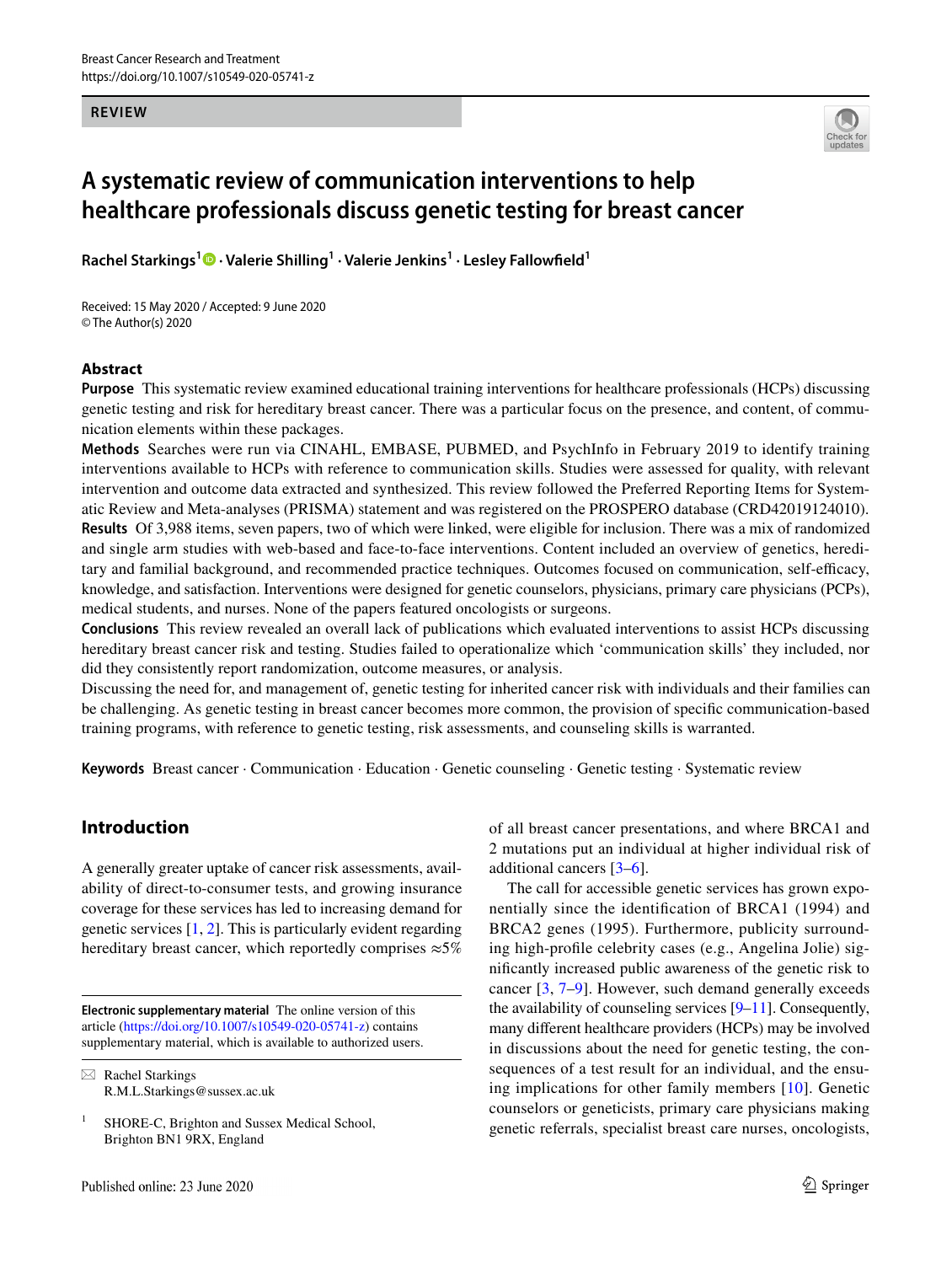**REVIEW**



# **A systematic review of communication interventions to help healthcare professionals discuss genetic testing for breast cancer**

**Rachel Starkings1 · Valerie Shilling1 · Valerie Jenkins1 · Lesley Fallowfeld1**

Received: 15 May 2020 / Accepted: 9 June 2020 © The Author(s) 2020

#### **Abstract**

**Purpose** This systematic review examined educational training interventions for healthcare professionals (HCPs) discussing genetic testing and risk for hereditary breast cancer. There was a particular focus on the presence, and content, of communication elements within these packages.

**Methods** Searches were run via CINAHL, EMBASE, PUBMED, and PsychInfo in February 2019 to identify training interventions available to HCPs with reference to communication skills. Studies were assessed for quality, with relevant intervention and outcome data extracted and synthesized. This review followed the Preferred Reporting Items for Systematic Review and Meta-analyses (PRISMA) statement and was registered on the PROSPERO database (CRD42019124010). **Results** Of 3,988 items, seven papers, two of which were linked, were eligible for inclusion. There was a mix of randomized and single arm studies with web-based and face-to-face interventions. Content included an overview of genetics, hereditary and familial background, and recommended practice techniques. Outcomes focused on communication, self-efficacy, knowledge, and satisfaction. Interventions were designed for genetic counselors, physicians, primary care physicians (PCPs), medical students, and nurses. None of the papers featured oncologists or surgeons.

**Conclusions** This review revealed an overall lack of publications which evaluated interventions to assist HCPs discussing hereditary breast cancer risk and testing. Studies failed to operationalize which 'communication skills' they included, nor did they consistently report randomization, outcome measures, or analysis.

Discussing the need for, and management of, genetic testing for inherited cancer risk with individuals and their families can be challenging. As genetic testing in breast cancer becomes more common, the provision of specifc communication-based training programs, with reference to genetic testing, risk assessments, and counseling skills is warranted.

Keywords Breast cancer · Communication · Education · Genetic counseling · Genetic testing · Systematic review

# **Introduction**

A generally greater uptake of cancer risk assessments, availability of direct-to-consumer tests, and growing insurance coverage for these services has led to increasing demand for genetic services [[1,](#page-12-0) [2](#page-12-1)]. This is particularly evident regarding hereditary breast cancer, which reportedly comprises  $\approx 5\%$ 

**Electronic supplementary material** The online version of this article [\(https://doi.org/10.1007/s10549-020-05741-z](https://doi.org/10.1007/s10549-020-05741-z)) contains supplementary material, which is available to authorized users.

 $\boxtimes$  Rachel Starkings R.M.L.Starkings@sussex.ac.uk of all breast cancer presentations, and where BRCA1 and 2 mutations put an individual at higher individual risk of additional cancers [\[3](#page-12-2)[–6](#page-12-3)].

The call for accessible genetic services has grown exponentially since the identifcation of BRCA1 (1994) and BRCA2 genes (1995). Furthermore, publicity surrounding high-profle celebrity cases (e.g., Angelina Jolie) signifcantly increased public awareness of the genetic risk to cancer [\[3](#page-12-2), [7–](#page-12-4)[9\]](#page-12-5). However, such demand generally exceeds the availability of counseling services [\[9](#page-12-5)[–11](#page-12-6)]. Consequently, many diferent healthcare providers (HCPs) may be involved in discussions about the need for genetic testing, the consequences of a test result for an individual, and the ensuing implications for other family members [\[10\]](#page-12-7). Genetic counselors or geneticists, primary care physicians making genetic referrals, specialist breast care nurses, oncologists,

<sup>&</sup>lt;sup>1</sup> SHORE-C, Brighton and Sussex Medical School, Brighton BN1 9RX, England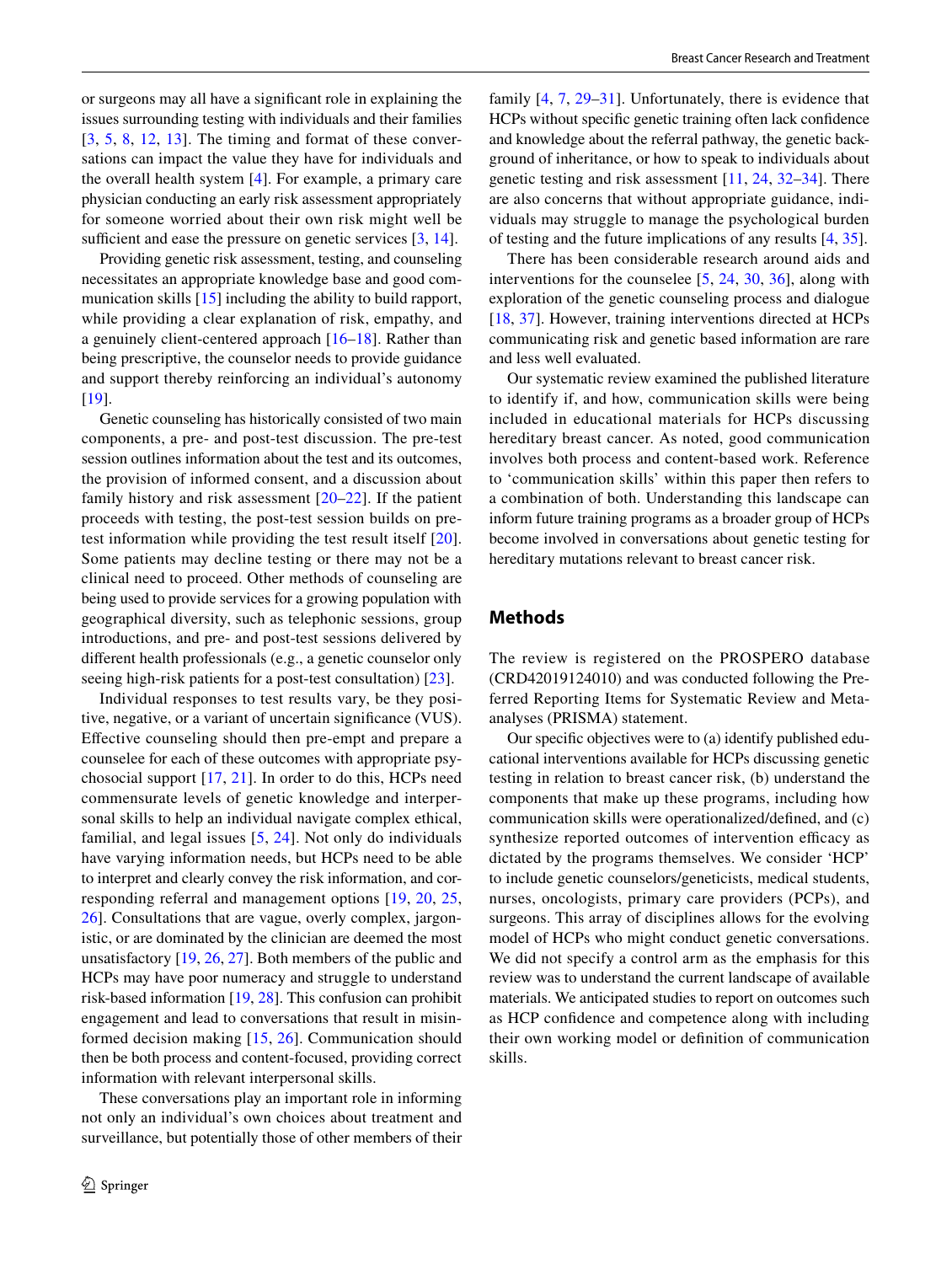or surgeons may all have a signifcant role in explaining the issues surrounding testing with individuals and their families [[3,](#page-12-2) [5,](#page-12-8) [8,](#page-12-9) [12,](#page-12-10) [13](#page-12-11)]. The timing and format of these conversations can impact the value they have for individuals and the overall health system [\[4](#page-12-12)]. For example, a primary care physician conducting an early risk assessment appropriately for someone worried about their own risk might well be sufficient and ease the pressure on genetic services  $[3, 14]$  $[3, 14]$  $[3, 14]$  $[3, 14]$ .

Providing genetic risk assessment, testing, and counseling necessitates an appropriate knowledge base and good com-munication skills [[15\]](#page-12-14) including the ability to build rapport, while providing a clear explanation of risk, empathy, and a genuinely client-centered approach [\[16–](#page-12-15)[18\]](#page-12-16). Rather than being prescriptive, the counselor needs to provide guidance and support thereby reinforcing an individual's autonomy [\[19\]](#page-12-17).

Genetic counseling has historically consisted of two main components, a pre- and post-test discussion. The pre-test session outlines information about the test and its outcomes, the provision of informed consent, and a discussion about family history and risk assessment [[20](#page-12-18)[–22\]](#page-12-19). If the patient proceeds with testing, the post-test session builds on pretest information while providing the test result itself [[20](#page-12-18)]. Some patients may decline testing or there may not be a clinical need to proceed. Other methods of counseling are being used to provide services for a growing population with geographical diversity, such as telephonic sessions, group introductions, and pre- and post-test sessions delivered by diferent health professionals (e.g., a genetic counselor only seeing high-risk patients for a post-test consultation) [[23\]](#page-12-20).

Individual responses to test results vary, be they positive, negative, or a variant of uncertain signifcance (VUS). Efective counseling should then pre-empt and prepare a counselee for each of these outcomes with appropriate psychosocial support [\[17](#page-12-21), [21\]](#page-12-22). In order to do this, HCPs need commensurate levels of genetic knowledge and interpersonal skills to help an individual navigate complex ethical, familial, and legal issues [[5,](#page-12-8) [24\]](#page-12-23). Not only do individuals have varying information needs, but HCPs need to be able to interpret and clearly convey the risk information, and corresponding referral and management options [\[19,](#page-12-17) [20,](#page-12-18) [25,](#page-12-24) [26](#page-13-0)]. Consultations that are vague, overly complex, jargonistic, or are dominated by the clinician are deemed the most unsatisfactory [\[19](#page-12-17), [26,](#page-13-0) [27\]](#page-13-1). Both members of the public and HCPs may have poor numeracy and struggle to understand risk-based information [[19,](#page-12-17) [28\]](#page-13-2). This confusion can prohibit engagement and lead to conversations that result in misinformed decision making [[15](#page-12-14), [26\]](#page-13-0). Communication should then be both process and content-focused, providing correct information with relevant interpersonal skills.

These conversations play an important role in informing not only an individual's own choices about treatment and surveillance, but potentially those of other members of their family [[4,](#page-12-12) [7](#page-12-4), [29](#page-13-3)[–31\]](#page-13-4). Unfortunately, there is evidence that HCPs without specifc genetic training often lack confdence and knowledge about the referral pathway, the genetic background of inheritance, or how to speak to individuals about genetic testing and risk assessment [\[11](#page-12-6), [24](#page-12-23), [32–](#page-13-5)[34\]](#page-13-6). There are also concerns that without appropriate guidance, individuals may struggle to manage the psychological burden of testing and the future implications of any results [\[4](#page-12-12), [35](#page-13-7)].

There has been considerable research around aids and interventions for the counselee [\[5](#page-12-8), [24](#page-12-23), [30,](#page-13-8) [36\]](#page-13-9), along with exploration of the genetic counseling process and dialogue [[18,](#page-12-16) [37](#page-13-10)]. However, training interventions directed at HCPs communicating risk and genetic based information are rare and less well evaluated.

Our systematic review examined the published literature to identify if, and how, communication skills were being included in educational materials for HCPs discussing hereditary breast cancer. As noted, good communication involves both process and content-based work. Reference to 'communication skills' within this paper then refers to a combination of both. Understanding this landscape can inform future training programs as a broader group of HCPs become involved in conversations about genetic testing for hereditary mutations relevant to breast cancer risk.

#### **Methods**

The review is registered on the PROSPERO database (CRD42019124010) and was conducted following the Preferred Reporting Items for Systematic Review and Metaanalyses (PRISMA) statement.

Our specifc objectives were to (a) identify published educational interventions available for HCPs discussing genetic testing in relation to breast cancer risk, (b) understand the components that make up these programs, including how communication skills were operationalized/defned, and (c) synthesize reported outcomes of intervention efficacy as dictated by the programs themselves. We consider 'HCP' to include genetic counselors/geneticists, medical students, nurses, oncologists, primary care providers (PCPs), and surgeons. This array of disciplines allows for the evolving model of HCPs who might conduct genetic conversations. We did not specify a control arm as the emphasis for this review was to understand the current landscape of available materials. We anticipated studies to report on outcomes such as HCP confdence and competence along with including their own working model or defnition of communication skills.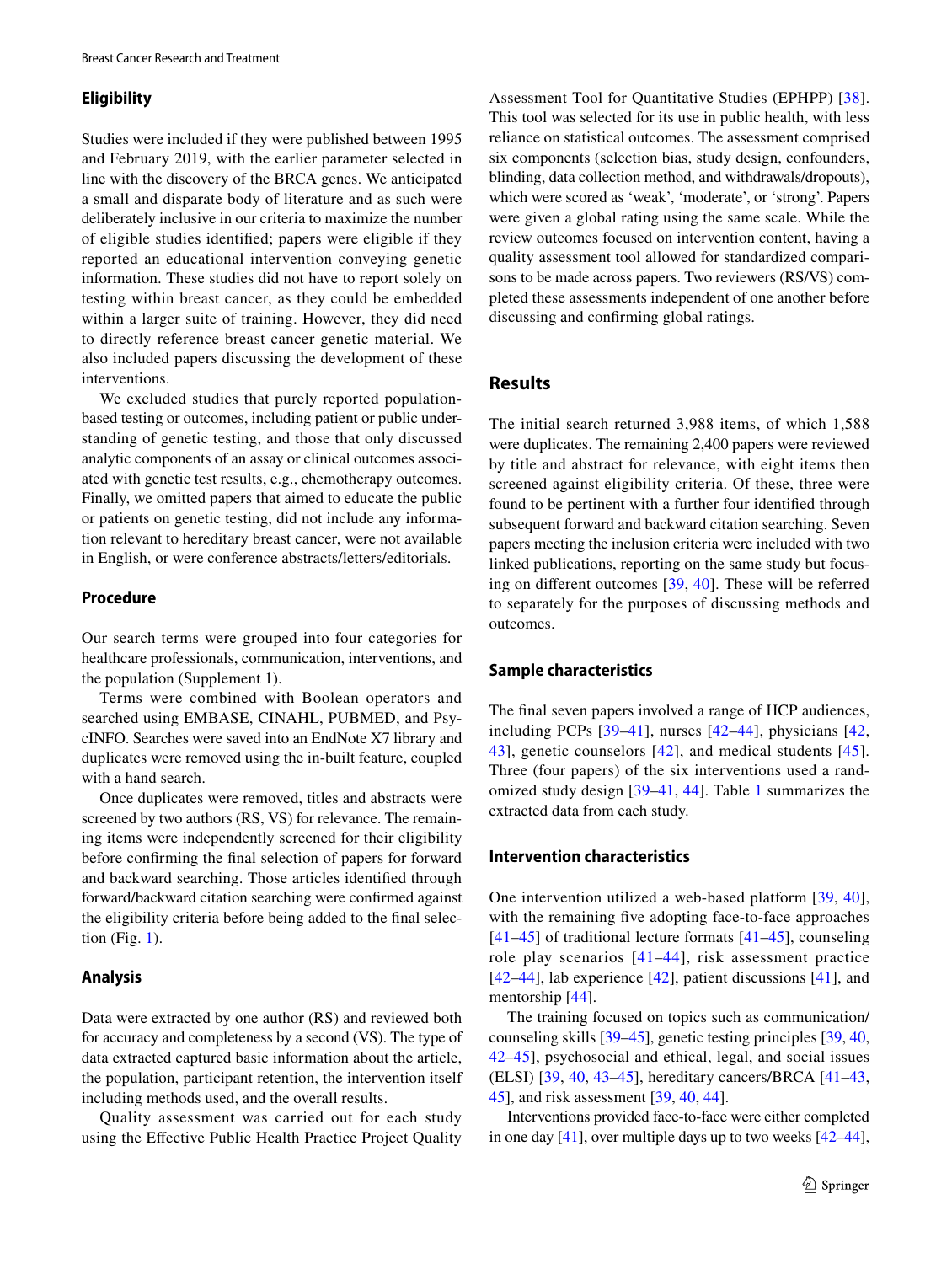#### **Eligibility**

Studies were included if they were published between 1995 and February 2019, with the earlier parameter selected in line with the discovery of the BRCA genes. We anticipated a small and disparate body of literature and as such were deliberately inclusive in our criteria to maximize the number of eligible studies identifed; papers were eligible if they reported an educational intervention conveying genetic information. These studies did not have to report solely on testing within breast cancer, as they could be embedded within a larger suite of training. However, they did need to directly reference breast cancer genetic material. We also included papers discussing the development of these interventions.

We excluded studies that purely reported populationbased testing or outcomes, including patient or public understanding of genetic testing, and those that only discussed analytic components of an assay or clinical outcomes associated with genetic test results, e.g., chemotherapy outcomes. Finally, we omitted papers that aimed to educate the public or patients on genetic testing, did not include any information relevant to hereditary breast cancer, were not available in English, or were conference abstracts/letters/editorials.

#### **Procedure**

Our search terms were grouped into four categories for healthcare professionals, communication, interventions, and the population (Supplement 1).

Terms were combined with Boolean operators and searched using EMBASE, CINAHL, PUBMED, and PsycINFO. Searches were saved into an EndNote X7 library and duplicates were removed using the in-built feature, coupled with a hand search.

Once duplicates were removed, titles and abstracts were screened by two authors (RS, VS) for relevance. The remaining items were independently screened for their eligibility before confrming the fnal selection of papers for forward and backward searching. Those articles identifed through forward/backward citation searching were confrmed against the eligibility criteria before being added to the fnal selection (Fig.  $1$ ).

#### **Analysis**

Data were extracted by one author (RS) and reviewed both for accuracy and completeness by a second (VS). The type of data extracted captured basic information about the article, the population, participant retention, the intervention itself including methods used, and the overall results.

Quality assessment was carried out for each study using the Efective Public Health Practice Project Quality

Assessment Tool for Quantitative Studies (EPHPP) [[38](#page-13-11)]. This tool was selected for its use in public health, with less reliance on statistical outcomes. The assessment comprised six components (selection bias, study design, confounders, blinding, data collection method, and withdrawals/dropouts), which were scored as 'weak', 'moderate', or 'strong'. Papers were given a global rating using the same scale. While the review outcomes focused on intervention content, having a quality assessment tool allowed for standardized comparisons to be made across papers. Two reviewers (RS/VS) completed these assessments independent of one another before discussing and confrming global ratings.

# **Results**

The initial search returned 3,988 items, of which 1,588 were duplicates. The remaining 2,400 papers were reviewed by title and abstract for relevance, with eight items then screened against eligibility criteria. Of these, three were found to be pertinent with a further four identifed through subsequent forward and backward citation searching. Seven papers meeting the inclusion criteria were included with two linked publications, reporting on the same study but focusing on diferent outcomes [\[39,](#page-13-12) [40](#page-13-13)]. These will be referred to separately for the purposes of discussing methods and outcomes.

#### **Sample characteristics**

The fnal seven papers involved a range of HCP audiences, including PCPs [[39–](#page-13-12)[41](#page-13-14)], nurses [[42](#page-13-15)–[44\]](#page-13-16), physicians [\[42,](#page-13-15) [43\]](#page-13-17), genetic counselors [\[42\]](#page-13-15), and medical students [[45](#page-13-18)]. Three (four papers) of the six interventions used a randomized study design [[39–](#page-13-12)[41](#page-13-14), [44\]](#page-13-16). Table [1](#page-5-0) summarizes the extracted data from each study.

#### **Intervention characteristics**

One intervention utilized a web-based platform [[39](#page-13-12), [40](#page-13-13)], with the remaining five adopting face-to-face approaches  $[41-45]$  $[41-45]$  $[41-45]$  of traditional lecture formats  $[41-45]$ , counseling role play scenarios [[41–](#page-13-14)[44\]](#page-13-16), risk assessment practice [[42–](#page-13-15)[44\]](#page-13-16), lab experience [[42](#page-13-15)], patient discussions [[41\]](#page-13-14), and mentorship [\[44\]](#page-13-16).

The training focused on topics such as communication/ counseling skills [[39–](#page-13-12)[45\]](#page-13-18), genetic testing principles [[39,](#page-13-12) [40,](#page-13-13) [42](#page-13-15)–[45\]](#page-13-18), psychosocial and ethical, legal, and social issues (ELSI) [[39,](#page-13-12) [40](#page-13-13), [43–](#page-13-17)[45\]](#page-13-18), hereditary cancers/BRCA [\[41–](#page-13-14)[43,](#page-13-17) [45](#page-13-18)], and risk assessment [\[39](#page-13-12), [40](#page-13-13), [44](#page-13-16)].

Interventions provided face-to-face were either completed in one day [\[41](#page-13-14)], over multiple days up to two weeks [[42–](#page-13-15)[44](#page-13-16)],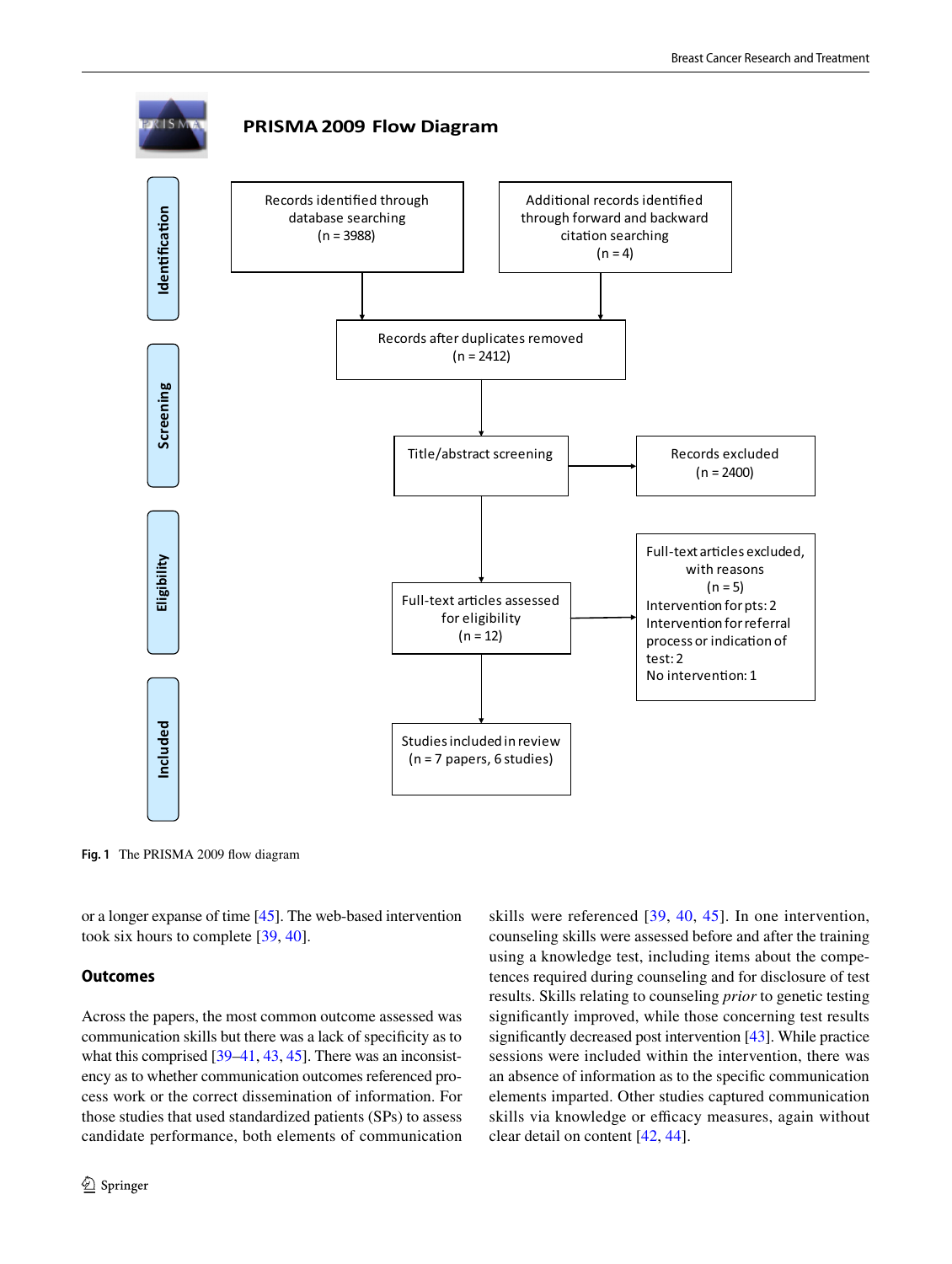

<span id="page-4-0"></span>**Fig. 1** The PRISMA 2009 fow diagram

or a longer expanse of time [\[45\]](#page-13-18). The web-based intervention took six hours to complete [[39,](#page-13-12) [40\]](#page-13-13).

#### **Outcomes**

Across the papers, the most common outcome assessed was communication skills but there was a lack of specifcity as to what this comprised [[39](#page-13-12)[–41](#page-13-14), [43,](#page-13-17) [45](#page-13-18)]. There was an inconsistency as to whether communication outcomes referenced process work or the correct dissemination of information. For those studies that used standardized patients (SPs) to assess candidate performance, both elements of communication skills were referenced [[39](#page-13-12), [40,](#page-13-13) [45](#page-13-18)]. In one intervention, counseling skills were assessed before and after the training using a knowledge test, including items about the competences required during counseling and for disclosure of test results. Skills relating to counseling *prior* to genetic testing signifcantly improved, while those concerning test results signifcantly decreased post intervention [\[43\]](#page-13-17). While practice sessions were included within the intervention, there was an absence of information as to the specifc communication elements imparted. Other studies captured communication skills via knowledge or efficacy measures, again without clear detail on content [\[42](#page-13-15), [44](#page-13-16)].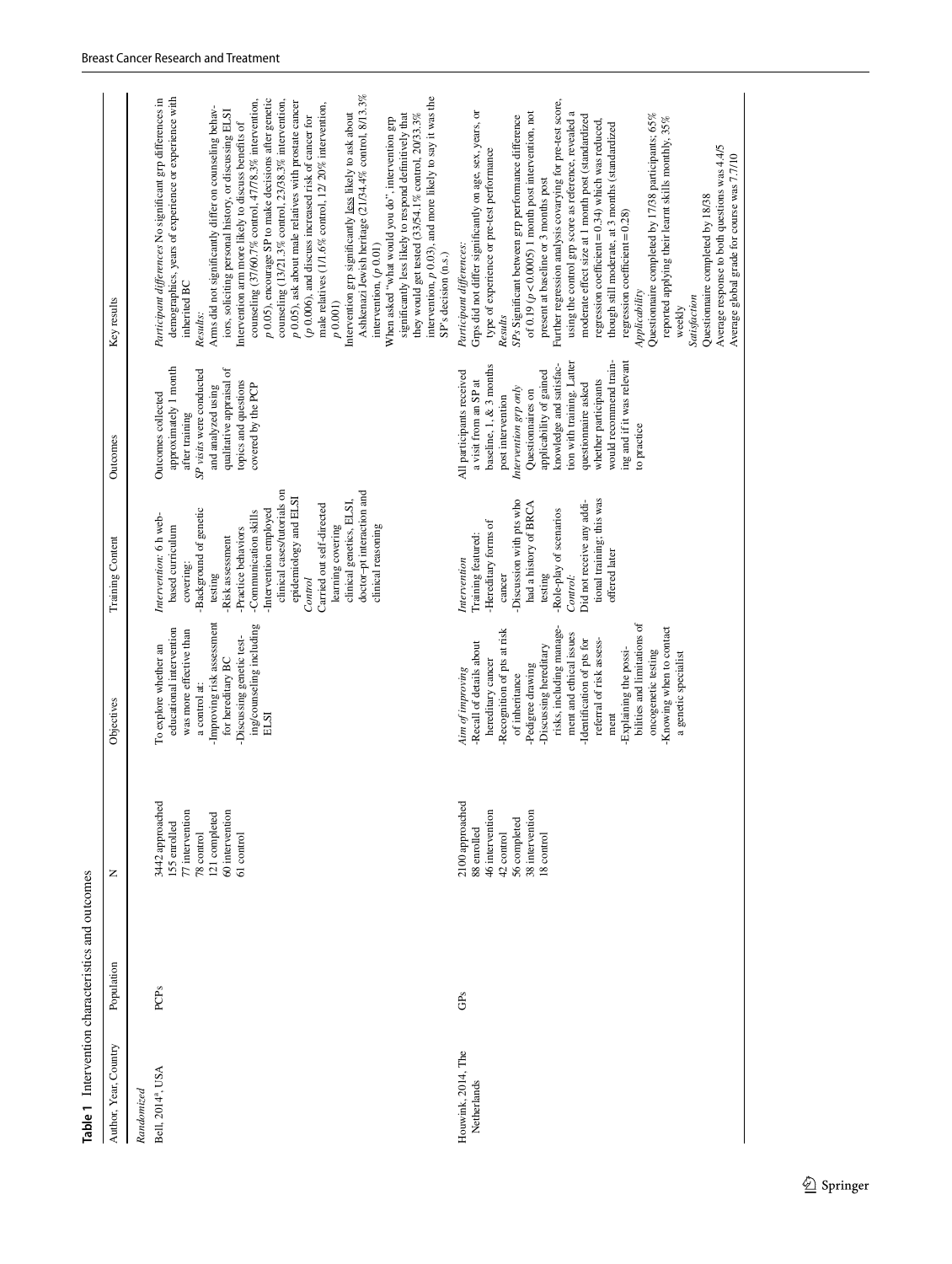| Population<br>Author, Year, Country<br>Randomized |                                                                                                                    |                                                                                                                                                                                                                                                                                                                                                                                                                               |                                                                                                                                                                                                                                                                                                                                                                                            |                                                                                                                                                                                                                                                                                                                                                            |                                                                                                                                                                                                                                                                                                                                                                                                                                                                                                                                                                                                                                                                                                                                                                                                                                                                                                                                                                                                                                                                                               |
|---------------------------------------------------|--------------------------------------------------------------------------------------------------------------------|-------------------------------------------------------------------------------------------------------------------------------------------------------------------------------------------------------------------------------------------------------------------------------------------------------------------------------------------------------------------------------------------------------------------------------|--------------------------------------------------------------------------------------------------------------------------------------------------------------------------------------------------------------------------------------------------------------------------------------------------------------------------------------------------------------------------------------------|------------------------------------------------------------------------------------------------------------------------------------------------------------------------------------------------------------------------------------------------------------------------------------------------------------------------------------------------------------|-----------------------------------------------------------------------------------------------------------------------------------------------------------------------------------------------------------------------------------------------------------------------------------------------------------------------------------------------------------------------------------------------------------------------------------------------------------------------------------------------------------------------------------------------------------------------------------------------------------------------------------------------------------------------------------------------------------------------------------------------------------------------------------------------------------------------------------------------------------------------------------------------------------------------------------------------------------------------------------------------------------------------------------------------------------------------------------------------|
|                                                   | Z                                                                                                                  | Objectives                                                                                                                                                                                                                                                                                                                                                                                                                    | Training Content                                                                                                                                                                                                                                                                                                                                                                           | Outcomes                                                                                                                                                                                                                                                                                                                                                   | Key results                                                                                                                                                                                                                                                                                                                                                                                                                                                                                                                                                                                                                                                                                                                                                                                                                                                                                                                                                                                                                                                                                   |
| PCPs<br>Bell, 2014 <sup>ª</sup> , USA             | 3442 approached<br>60 intervention<br>77 intervention<br>121 completed<br>155 enrolled<br>78 control<br>61 control | -Improving risk assessment<br>ing/counseling including<br>educational intervention<br>was more effective than<br>-Discussing genetic test-<br>To explore whether an<br>for hereditary BC<br>a control at:<br>ELSI                                                                                                                                                                                                             | clinical cases/tutorials on<br>doctor-pt interaction and<br>epidemiology and ELSI<br>clinical genetics, ELSI,<br>Carried out self-directed<br>Background of genetic<br>Intervention employed<br>-Communication skills<br>Intervention: 6 h web-<br>clinical reasoning<br>based curriculum<br>learning covering<br>Practice behaviors<br>Risk assessment<br>covering:<br>testing<br>Control | approximately 1 month<br>qualitative appraisal of<br>SP visits were conducted<br>topics and questions<br>and analyzed using<br>covered by the PCP<br>Outcomes collected<br>after training                                                                                                                                                                  | Ashkenazi Jewish heritage (21/34.4% control, 8/13.3%<br>intervention, $p$ 0.03), and more likely to say it was the<br>demographics, years of experience or experience with<br>Participant differences No significant grp differences in<br>p 0.05), encourage SP to make decisions after genetic<br>counseling (37/60.7% control, 47/78.3% intervention,<br>counseling (13/21.3% control, 23/38.3% intervention,<br>p 0.05), ask about male relatives with prostate cancer<br>male relatives (1/1.6% control, 12/20% intervention,<br>Arms did not significantly differ on counseling behav-<br>iors, soliciting personal history, or discussing ELSI<br>Intervention grp significantly less likely to ask about<br>they would get tested (33/54.1% control, 20/33.3%<br>significantly less likely to respond definitively that<br>(p 0.006), and discuss increased risk of cancer for<br>When asked "what would you do", intervention grp<br>Intervention arm more likely to discuss benefits of<br>intervention, $(p 0.01)$<br>SP's decision (n.s.)<br>inherited BC<br>p(0.001)<br>Results: |
| GPs<br>Houwink, 2014, The<br>Netherlands          | 2100 approached<br>38 intervention<br>46 intervention<br>56 completed<br>88 enrolled<br>42 control<br>18 control   | bilities and limitations of<br>-Knowing when to contact<br>risks, including manage-<br>-Recognition of pts at risk<br>ment and ethical issues<br>referral of risk assess-<br>-Identification of pts for<br>-Recall of details about<br>-Discussing hereditary<br>Explaining the possi-<br>oncogenetic testing<br>a genetic specialist<br>hereditary cancer<br>-Pedigree drawing<br>Aim of improving<br>of inheritance<br>ment | tional training; this was<br>-Discussion with pts who<br>Did not receive any addi-<br>had a history of BRCA<br>-Role-play of scenarios<br>Hereditary forms of<br>Training featured:<br>offered later<br>Intervention<br>testing<br>cancer<br>Control:                                                                                                                                      | would recommend train-<br>tion with training. Latter<br>ing and if it was relevant<br>knowledge and satisfac-<br>baseline, 1, & 3 months<br>All participants received<br>applicability of gained<br>whether participants<br>a visit from an SP at<br>questionnaire asked<br>Intervention grp only<br>Questionnaires on<br>post intervention<br>to practice | Further regression analysis covarying for pre-test score,<br>Grps did not differ significantly on age, sex, years, or<br>using the control grp score as reference, revealed a<br>of 0.19 ( $p < 0.0005$ ) 1 month post intervention, not<br>Questionnaire completed by 17/38 participants; 65%<br>moderate effect size at 1 month post (standardized<br>SP <sub>s</sub> Significant between grp performance difference<br>reported applying their learnt skills monthly, 35%<br>regression coefficient = $0.34$ ) which was reduced,<br>though still moderate, at 3 months (standardized<br>Average response to both questions was 4.4/5<br>type of experience or pre-test performance<br>Average global grade for course was 7.7/10<br>present at baseline or 3 months post<br>Questionnaire completed by 18/38<br>regression coefficient $= 0.28$ )<br>Participant differences:<br>Applicability<br>Satisfaction<br>weekly<br>Results                                                                                                                                                       |

<span id="page-5-0"></span> $\underline{\textcircled{\tiny 2}}$  Springer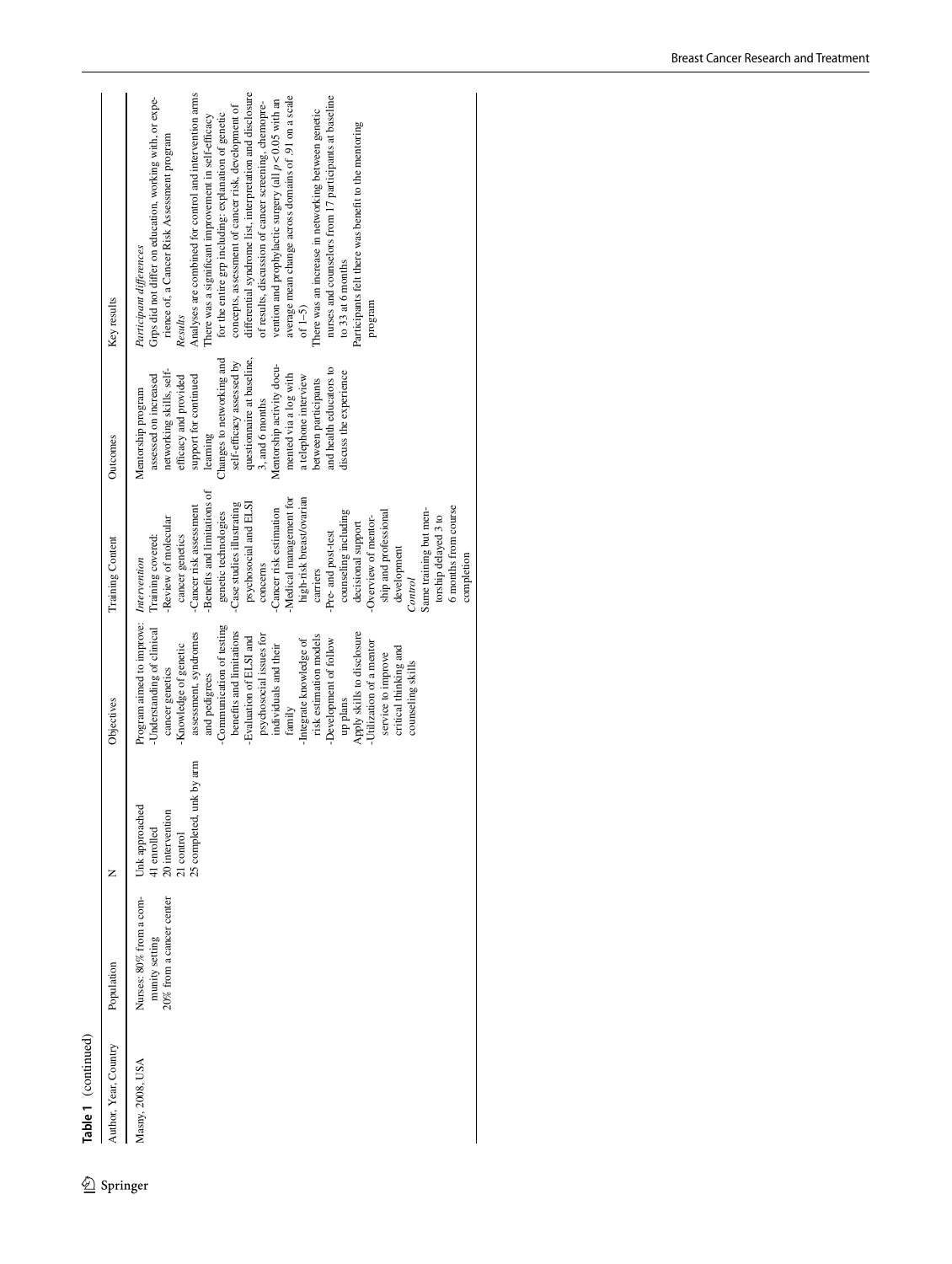Table 1 (continued)

 $\underline{\textcircled{\tiny 2}}$  Springer

| Author, Year, Country | Population               | z                              | Objectives                 | Training Content            | Outcomes                   | Key results                                               |
|-----------------------|--------------------------|--------------------------------|----------------------------|-----------------------------|----------------------------|-----------------------------------------------------------|
|                       |                          |                                |                            |                             |                            |                                                           |
| Masny, 2008, USA      | Nurses: 80% from a com-  | Unk approached                 | Program aimed to improve:  | Intervention                | Mentorship program         | Participant differences                                   |
|                       | munity setting           |                                | Understanding of clinical  | Training covered:           | assessed on increased      | Grps did not differ on education, working with, or expe-  |
|                       |                          | 41 enrolled<br>20 intervention |                            |                             |                            |                                                           |
|                       | 20% from a cancer center |                                | cancer genetics            | Review of molecular         | networking skills, self-   | rience of, a Cancer Risk Assessment program               |
|                       |                          | 21 control                     | Knowledge of genetic       | cancer genetics             | efficacy and provided      | Results                                                   |
|                       |                          | by arm<br>25 completed, unl    | assessment, syndromes      | -Cancer risk assessment     | support for continued      | Analyses are combined for control and intervention arms   |
|                       |                          |                                | and pedigrees              | Benefits and limitations of | learning                   | here was a significant improvement in self-efficacy       |
|                       |                          |                                | Communication of testing   | genetic technologies        | Changes to networking and  | for the entire grp including: explanation of genetic      |
|                       |                          |                                | benefits and limitations   | -Case studies illustrating  | self-efficacy assessed by  | concepts, assessment of cancer risk, development of       |
|                       |                          |                                | Evaluation of ELSI and     | psychosocial and ELSI       | questionnaire at baseline, | differential syndrome list, interpretation and disclosure |
|                       |                          |                                | psychosocial issues for    | concerns                    | 3, and 6 months            | of results, discussion of cancer screening, chemopre-     |
|                       |                          |                                | individuals and their      | Cancer risk estimation      | Mentorship activity docu-  | vention and prophylactic surgery (all $p < 0.05$ with an  |
|                       |                          |                                | family                     | Medical management for      | mented via a log with      | average mean change across domains of .91 on a scale      |
|                       |                          |                                | -Integrate knowledge of    | high-risk breast/ovarian    | a telephone interview      | of $1-5$ )                                                |
|                       |                          |                                | risk estimation models     | carriers                    | between participants       | There was an increase in networking between genetic       |
|                       |                          |                                | -Development of follow     | -Pre- and post-test         | and health educators to    | nurses and counselors from 17 participants at baseline    |
|                       |                          |                                | up plans                   | counseling including        | discuss the experience     | to 33 at 6 months                                         |
|                       |                          |                                | Apply skills to disclosure | decisional support          |                            | Participants felt there was benefit to the mentoring      |
|                       |                          |                                | -Utilization of a mentor   | -Overview of mentor-        |                            | program                                                   |
|                       |                          |                                | service to improve         | ship and professional       |                            |                                                           |
|                       |                          |                                | critical thinking and      | development                 |                            |                                                           |
|                       |                          |                                | counseling skills          | Control                     |                            |                                                           |
|                       |                          |                                |                            | Same training but men-      |                            |                                                           |
|                       |                          |                                |                            | torship delayed 3 to        |                            |                                                           |
|                       |                          |                                |                            | 6 months from course        |                            |                                                           |
|                       |                          |                                |                            | completion                  |                            |                                                           |
|                       |                          |                                |                            |                             |                            |                                                           |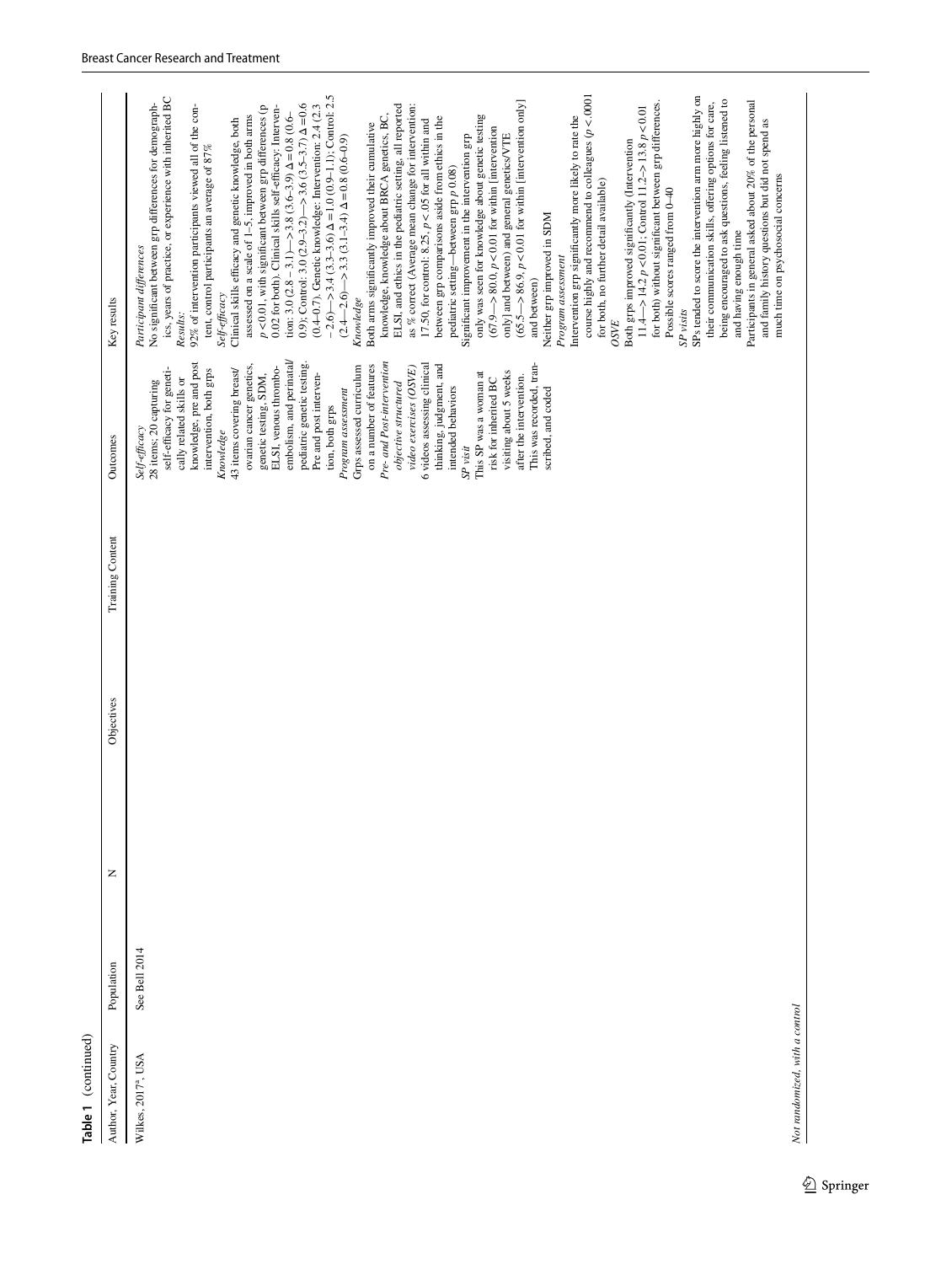| Author, Year, Country           | Population    | Z | Objectives | Training Content | Outcomes                                                                                                                                                                                                                                                                                                                                                                                                                                                                                                                                                                                                                                                                                                                                                                                                  | Key results                                                                                                                                                                                                                                                                                                                                                                                                                                                                                                                                                                                                                                                                                                                                                                                                                                                                                                                                                                                                                                                                                                                                                                                                                                                                                                                                                                                                                                                                                                                                                                                                                                                                                                                                                                                                                                                                                                                                                                                                                                                                                                                                                                                                                                                                                                                                                                                                                       |
|---------------------------------|---------------|---|------------|------------------|-----------------------------------------------------------------------------------------------------------------------------------------------------------------------------------------------------------------------------------------------------------------------------------------------------------------------------------------------------------------------------------------------------------------------------------------------------------------------------------------------------------------------------------------------------------------------------------------------------------------------------------------------------------------------------------------------------------------------------------------------------------------------------------------------------------|-----------------------------------------------------------------------------------------------------------------------------------------------------------------------------------------------------------------------------------------------------------------------------------------------------------------------------------------------------------------------------------------------------------------------------------------------------------------------------------------------------------------------------------------------------------------------------------------------------------------------------------------------------------------------------------------------------------------------------------------------------------------------------------------------------------------------------------------------------------------------------------------------------------------------------------------------------------------------------------------------------------------------------------------------------------------------------------------------------------------------------------------------------------------------------------------------------------------------------------------------------------------------------------------------------------------------------------------------------------------------------------------------------------------------------------------------------------------------------------------------------------------------------------------------------------------------------------------------------------------------------------------------------------------------------------------------------------------------------------------------------------------------------------------------------------------------------------------------------------------------------------------------------------------------------------------------------------------------------------------------------------------------------------------------------------------------------------------------------------------------------------------------------------------------------------------------------------------------------------------------------------------------------------------------------------------------------------------------------------------------------------------------------------------------------------|
| Wilkes, 2017 <sup>ª</sup> , USA | See Bell 2014 |   |            |                  | embolism, and perinatal/<br>knowledge, pre and post<br>pediatric genetic testing.<br>This was recorded, tran-<br>Pre- and Post-intervention<br>6 videos assessing clinical<br>thinking, judgment, and<br>ovarian cancer genetics,<br>ELSI, venous thrombo-<br>Grps assessed curriculum<br>on a number of features<br>video exercises (OSVE)<br>self-efficacy for geneti-<br>intervention, both grps<br>43 items covering breast/<br>visiting about 5 weeks<br>This SP was a woman at<br>genetic testing, SDM,<br>Pre and post interven-<br>after the intervention.<br>cally related skills or<br>risk for inherited BC<br>28 items; 20 capturing<br>objective structured<br>intended behaviors<br>Program assessment<br>scribed, and coded<br>tion, both grps<br>Self-efficacy<br>Knowledge<br>$SP$ visit | $-2.6$ ) $-2.3.4$ (3.3-3.6) $\Delta = 1.0$ (0.9-1.1); Control: 2.5<br>course highly and recommend to colleagues $(p < .0001$<br>SPs tended to score the intervention arm more highly on<br>ics, years of practice, or experience with inherited BC<br>being encouraged to ask questions, feeling listened to<br>Participants in general asked about 20% of the personal<br>$(65.5 - 86.9, p < 0.01$ for within [intervention only]<br>for both) without significant between grp differences.<br>their communication skills, offering options for care,<br>No significant between grp differences for demograph-<br>0.9); Control: 3.0 $(2.9-3.2)$ $\rightarrow$ 3.6 $(3.5-3.7)$ $\Delta$ = 0.6<br>92% of intervention participants viewed all of the con-<br>ELSI, and ethics in the pediatric setting, all reported<br>(0.4-0.7). Genetic knowledge: Intervention: 2.4 (2.3<br>as % correct (Average mean change for intervention:<br>$p$ < 0.01, with significant between grp differences (p<br>0.02 for both). Clinical skills self-efficacy: Interven-<br>11.4 -> 14.2 $p < 0.01$ ; Control 11.2-> 13.8 $p < 0.01$<br>tion: 3.0 $(2.8 - 3.1)$ $\rightarrow$ 3.8 $(3.6 - 3.9)$ $\Delta = 0.8$ (0.6-<br>knowledge, knowledge about BRCA genetics, BC,<br>only was seen for knowledge about genetic testing<br>assessed on a scale of 1-5, improved in both arms<br>Intervention grp significantly more likely to rate the<br>between grp comparisons aside from ethics in the<br>17.50, for control: 8.25, $p < 0.05$ for all within and<br>and family history questions but did not spend as<br>Clinical skills efficacy and genetic knowledge, both<br>Both arms significantly improved their cumulative<br>$(67.9 - 80.0, p < 0.01$ for within [intervention<br>only] and between) and general genetics/VTE<br>Significant improvement in the intervention grp<br>$(2.4 - 2.6)$ - $3.3$ $(3.1 - 3.4)$ $\Delta = 0.8$ $(0.6 - 0.9)$<br>Both grps improved significantly (Intervention<br>tent, control participants an average of 87%<br>pediatric setting-between grp p 0.08)<br>much time on psychosocial concerns<br>for both, no further detail available)<br>Possible scores ranged from 0-40<br>Neither grp improved in SDM<br>and having enough time<br>Participant differences<br>Program assessment<br>and between)<br>$\mathit{Self\text{-}eff}\text{-}\mathit{accy}$<br>Knowledge<br>SP visits<br>Results:<br>OSVE |
| Not randomized, with a control  |               |   |            |                  |                                                                                                                                                                                                                                                                                                                                                                                                                                                                                                                                                                                                                                                                                                                                                                                                           |                                                                                                                                                                                                                                                                                                                                                                                                                                                                                                                                                                                                                                                                                                                                                                                                                                                                                                                                                                                                                                                                                                                                                                                                                                                                                                                                                                                                                                                                                                                                                                                                                                                                                                                                                                                                                                                                                                                                                                                                                                                                                                                                                                                                                                                                                                                                                                                                                                   |

**Table 1** (continued)

Table 1 (continued)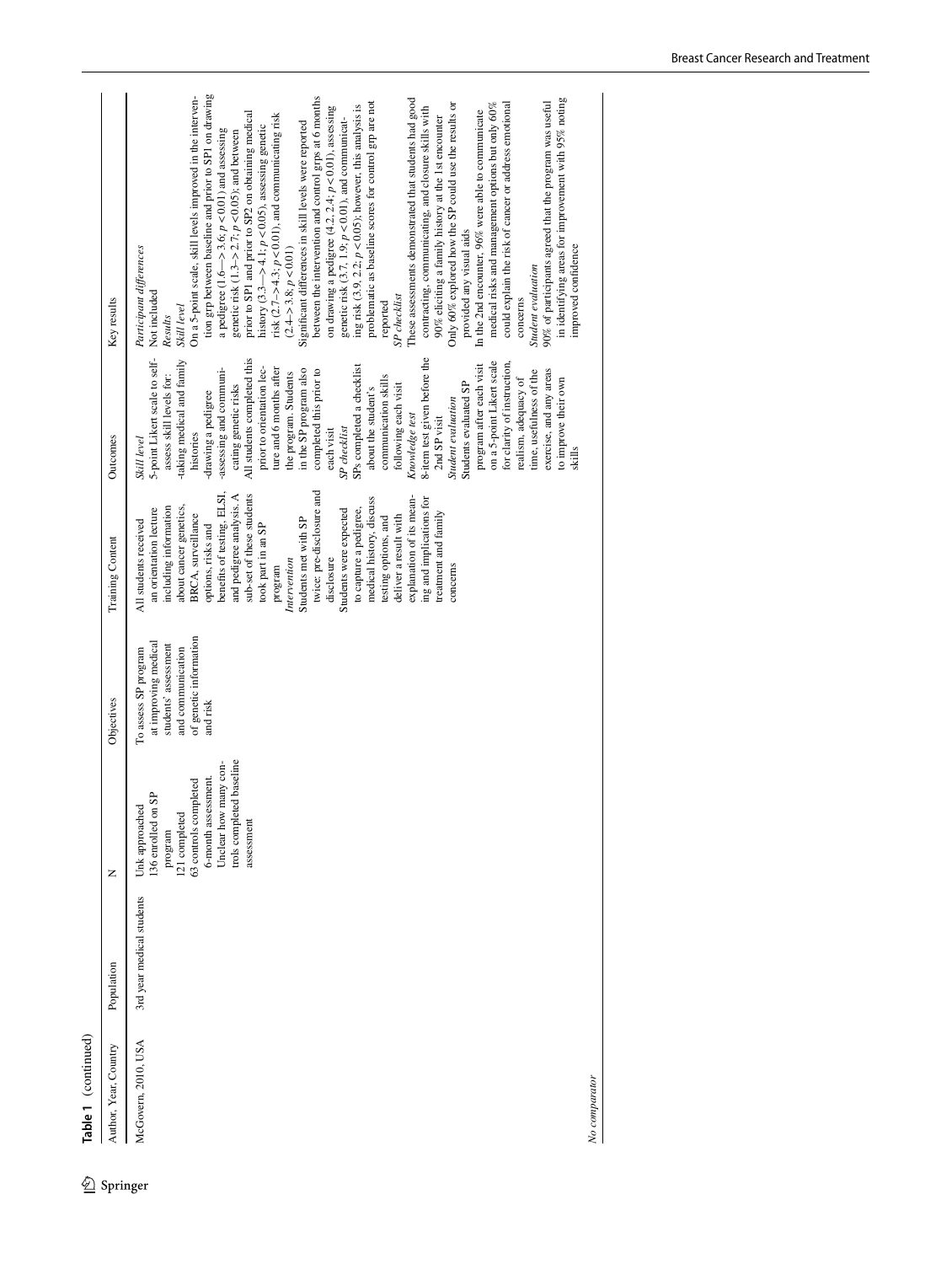Table 1 (continued)

|                            | Table 1 (continued)   |                           |                                                                                                                                                                                        |                                                                                                                                 |                                                                                                                                                                                                                                                                                                                                                                                                                                                                                                                                                                                        |                                                                                                                                                                                                                                                                                                                                                                                                                                                                                                                                                                                                                                                                                                                                                                                                                                      |                                                                                                                                                                                                                                                                                                                                                                                                                                                                                                                                                                                                                                                                                                                                                                                                                                                                                                                                                                                                                                                                                                                                                                                                                                                                                                                                                                                                                                                                                                          |
|----------------------------|-----------------------|---------------------------|----------------------------------------------------------------------------------------------------------------------------------------------------------------------------------------|---------------------------------------------------------------------------------------------------------------------------------|----------------------------------------------------------------------------------------------------------------------------------------------------------------------------------------------------------------------------------------------------------------------------------------------------------------------------------------------------------------------------------------------------------------------------------------------------------------------------------------------------------------------------------------------------------------------------------------|--------------------------------------------------------------------------------------------------------------------------------------------------------------------------------------------------------------------------------------------------------------------------------------------------------------------------------------------------------------------------------------------------------------------------------------------------------------------------------------------------------------------------------------------------------------------------------------------------------------------------------------------------------------------------------------------------------------------------------------------------------------------------------------------------------------------------------------|----------------------------------------------------------------------------------------------------------------------------------------------------------------------------------------------------------------------------------------------------------------------------------------------------------------------------------------------------------------------------------------------------------------------------------------------------------------------------------------------------------------------------------------------------------------------------------------------------------------------------------------------------------------------------------------------------------------------------------------------------------------------------------------------------------------------------------------------------------------------------------------------------------------------------------------------------------------------------------------------------------------------------------------------------------------------------------------------------------------------------------------------------------------------------------------------------------------------------------------------------------------------------------------------------------------------------------------------------------------------------------------------------------------------------------------------------------------------------------------------------------|
| $\textcircled{2}$ Springer | Author, Year, Country | Population                | Z                                                                                                                                                                                      | Objectives                                                                                                                      | Training Content                                                                                                                                                                                                                                                                                                                                                                                                                                                                                                                                                                       | Outcomes                                                                                                                                                                                                                                                                                                                                                                                                                                                                                                                                                                                                                                                                                                                                                                                                                             | Key results                                                                                                                                                                                                                                                                                                                                                                                                                                                                                                                                                                                                                                                                                                                                                                                                                                                                                                                                                                                                                                                                                                                                                                                                                                                                                                                                                                                                                                                                                              |
|                            | McGovern, 2010, USA   | 3rd year medical students | trols completed baseline<br>Unclear how many con-<br>6-month assessment.<br>63 controls completed<br>GB<br>Unk approached<br>136 enrolled on<br>121 completed<br>assessment<br>program | of genetic information<br>at improving medical<br>students' assessment<br>and communication<br>To assess SP program<br>and risk | twice: pre-disclosure and<br>benefits of testing, ELSI,<br>sub-set of these students<br>and pedigree analysis. A<br>explanation of its mean-<br>medical history, discuss<br>ing and implications for<br>about cancer genetics,<br>including information<br>to capture a pedigree,<br>Students were expected<br>an orientation lecture<br>treatment and family<br>BRCA, surveillance<br>deliver a result with<br>testing options, and<br>Students met with SP<br>All students received<br>options, risks and<br>took part in an SP<br>disclosure<br>Intervention<br>concerns<br>program | 5-point Likert scale to self-<br>All students completed this<br>8-item test given before the<br>-taking medical and family<br>on a 5-point Likert scale<br>for clarity of instruction,<br>SPs completed a checklist<br>program after each visit<br>prior to orientation lec-<br>-assessing and communi-<br>ture and 6 months after<br>in the SP program also<br>completed this prior to<br>exercise, and any areas<br>time, usefulness of the<br>the program. Students<br>assess skill levels for:<br>communication skills<br>to improve their own<br>realism, adequacy of<br>following each visit<br>Students evaluated SP<br>cating genetic risks<br>about the student's<br>-drawing a pedigree<br><b>Student</b> evaluation<br>Knowledge test<br>2nd SP visit<br>SP checklist<br>each visit<br>histories<br>Skill level<br>skills | tion grp between baseline and prior to SP1 on drawing<br>On a 5-point scale, skill levels improved in the interven-<br>between the intervention and control grps at 6 months<br>in identifying areas for improvement with 95% noting<br>These assessments demonstrated that students had good<br>problematic as baseline scores for control grp are not<br>90% of participants agreed that the program was useful<br>Only 60% explored how the SP could use the results or<br>medical risks and management options but only 60%<br>could explain the risk of cancer or address emotional<br>ing risk (3.9, 2.2; $p < 0.05$ ); however, this analysis is<br>on drawing a pedigree $(4.2, 2.4; p < 0.01)$ , assessing<br>contracting, communicating, and closure skills with<br>In the 2nd encounter, 96% were able to communicate<br>prior to SP1 and prior to SP2 on obtaining medical<br>risk $(2.7 - 54.3; p < 0.01)$ , and communicating risk<br>90% eliciting a family history at the 1st encounter<br>genetic risk $(3.7, 1.9; p<0.01)$ , and communicat-<br>Significant differences in skill levels were reported<br>history (3.3—>4.1; $p < 0.05$ ), assessing genetic<br>a pedigree (1.6–>3.6; $p$ <0.01) and assessing<br>genetic risk $(1.3 - 2.7; p < 0.05)$ ; and between<br>provided any visual aids<br>Participant differences<br>improved confidence<br>$(2.4 - > 3.8; p < 0.01)$<br>Student evaluation<br>Not included<br>SP checklist<br>concerns<br>reported<br>Skill level<br>Results |

*No comparator*

No comparator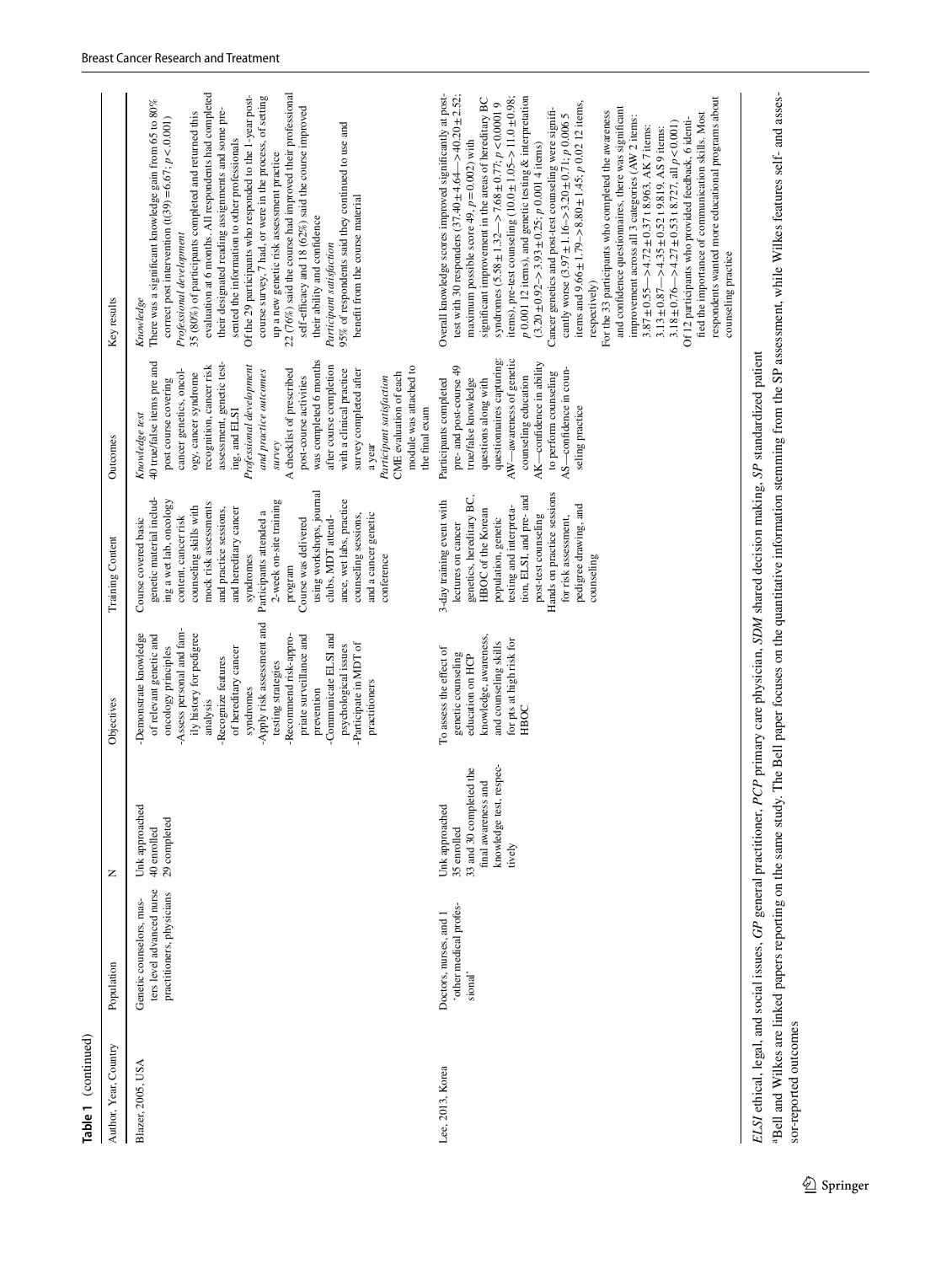| Author, Year, Country | Population                                                                         | z                                                                                                                    | Objectives                                                                                                                                                                                                                                                                                                                                                                                                                 | Training Content                                                                                                                                                                                                                                                                                                                                                                                                                                            | Outcomes                                                                                                                                                                                                                                                                                                                                                                                                                                                                                                                                        | Key results                                                                                                                                                                                                                                                                                                                                                                                                                                                                                                                                                                                                                                                                                                                                                                                                                                                                                                                                                                                                                                                                                                                                                                                                                                                                             |
|-----------------------|------------------------------------------------------------------------------------|----------------------------------------------------------------------------------------------------------------------|----------------------------------------------------------------------------------------------------------------------------------------------------------------------------------------------------------------------------------------------------------------------------------------------------------------------------------------------------------------------------------------------------------------------------|-------------------------------------------------------------------------------------------------------------------------------------------------------------------------------------------------------------------------------------------------------------------------------------------------------------------------------------------------------------------------------------------------------------------------------------------------------------|-------------------------------------------------------------------------------------------------------------------------------------------------------------------------------------------------------------------------------------------------------------------------------------------------------------------------------------------------------------------------------------------------------------------------------------------------------------------------------------------------------------------------------------------------|-----------------------------------------------------------------------------------------------------------------------------------------------------------------------------------------------------------------------------------------------------------------------------------------------------------------------------------------------------------------------------------------------------------------------------------------------------------------------------------------------------------------------------------------------------------------------------------------------------------------------------------------------------------------------------------------------------------------------------------------------------------------------------------------------------------------------------------------------------------------------------------------------------------------------------------------------------------------------------------------------------------------------------------------------------------------------------------------------------------------------------------------------------------------------------------------------------------------------------------------------------------------------------------------|
| Blazer, 2005, USA     | ters level advanced nurse<br>practitioners, physicians<br>Genetic counselors, mas- | Unk approached<br>29 completed<br>40 enrolled                                                                        | -Apply risk assessment and<br>Assess personal and fam-<br>ily history for pedigree<br>-Demonstrate knowledge<br>Communicate ELSI and<br>of relevant genetic and<br>-Recommend risk-appro-<br>priate surveillance and<br>-Participate in MDT of<br>psychological issues<br>oncology principles<br>of hereditary cancer<br>-Recognize features<br>testing strategies<br>practitioners<br>prevention<br>syndromes<br>analysis | using workshops, journal<br>genetic material includ-<br>ing a wet lab, oncology<br>2-week on-site training<br>ance, wet labs, practice<br>mock risk assessments<br>counseling skills with<br>and practice sessions,<br>and hereditary cancer<br>Participants attended a<br>and a cancer genetic<br>counseling sessions,<br>content, cancer risk<br>clubs, MDT attend-<br>Course covered basic<br>Course was delivered<br>syndromes<br>conference<br>program | was completed 6 months<br>40 true/false items pre and<br>assessment, genetic test-<br>after course completion<br>recognition, cancer risk<br>module was attached to<br>Professional development<br>cancer genetics, oncol-<br>and practice outcomes<br>A checklist of prescribed<br>with a clinical practice<br>survey completed after<br>ogy, cancer syndrome<br>CME evaluation of each<br>post-course activities<br>Participant satisfaction<br>post course covering<br>the final exam<br>ing, and ELSI<br>Knowledge test<br>survey<br>a year | evaluation at 6 months. All respondents had completed<br>22 (76%) said the course had improved their professional<br>course survey, 7 had, or were in the process, of setting<br>Of the 29 participants who responded to the 1-year post-<br>There was a significant knowledge gain from 65 to 80%<br>self-efficacy and 18 (62%) said the course improved<br>their designated reading assignments and some pre-<br>35 (80%) of participants completed and returned this<br>correct post intervention $(t(39) = 6.67; p < 0.001)$<br>95% of respondents said they continued to use and<br>sented the information to other professionals<br>up a new genetic risk assessment practice<br>benefit from the course material<br>their ability and confidence<br>Professional development<br>Participant satisfaction<br>Knowledge                                                                                                                                                                                                                                                                                                                                                                                                                                                            |
| Lee, 2013, Korea      | 'other medical profes-<br>Doctors, nurses, and 1<br>sional'                        | knowledge test, respec-<br>35 enrolled<br>33 and 30 completed the<br>final awareness and<br>Unk approached<br>tively | knowledge, awareness,<br>for pts at high risk for<br>and counseling skills<br>To assess the effect of<br>genetic counseling<br>education on HCP<br>HBOC                                                                                                                                                                                                                                                                    | Hands on practice sessions<br>genetics, hereditary BC,<br>tion, ELSI, and pre- and<br>3-day training event with<br>pedigree drawing, and<br>testing and interpreta-<br>HBOC of the Korean<br>post-test counseling<br>for risk assessment,<br>population, genetic<br>lectures on cancer<br>counseling                                                                                                                                                        | AW—awareness of genetic<br>questionnaires capturing:<br>AK-confidence in ability<br>pre- and post-course 49<br>AS-confidence in coun-<br>to perform counseling<br>counseling education<br>Participants completed<br>true/false knowledge<br>questions along with<br>seling practice                                                                                                                                                                                                                                                             | Overall knowledge scores improved significantly at post-<br>test with 30 responders (37.40 $\pm$ 4.64 - > 40.20 $\pm$ 2.52;<br>$p$ 0.001 12 items), and genetic testing $\&$ interpretation<br>items), pre-test counseling $(10.0 \pm 1.05 - 11.0 \pm 0.98)$ ;<br>respondents wanted more educational programs about<br>significant improvement in the areas of hereditary BC<br>syndromes $(5.58 \pm 1.32 \rightarrow 7.68 \pm 0.77; p < 0.00019$<br>items and $9.66 \pm 1.79 \rightarrow 8.80 \pm 1.45$ ; p 0.02 12 items,<br>and confidence questionnaires, there was significant<br>Cancer genetics and post-test counseling were signifi-<br>For the 33 participants who completed the awareness<br>cantly worse $(3.97 \pm 1.16 \rightarrow 3.20 \pm 0.71$ ; p 0.006 5<br>fied the importance of communication skills. Most<br>improvement across all 3 categories (AW 2 items:<br>Of 12 participants who provided feedback, 6 identi-<br>$3.18 \pm 0.76 - 24.27 \pm 0.53$ t 8.727, all $p < 0.001$ )<br>$3.87 \pm 0.55$ - $\geq$ 4.72 $\pm$ 0.37 t 8.963, AK 7 items:<br>$3.13 \pm 0.87$ – > 4.35 $\pm$ 0.52 t 9.819, AS 9 items:<br>maximum possible score 49, $p = 0.002$ ) with<br>$(3.20 \pm 0.92 - 3.93 \pm 0.25; p 0.001 4$ items)<br>counseling practice<br>respectively) |
|                       |                                                                                    |                                                                                                                      |                                                                                                                                                                                                                                                                                                                                                                                                                            | ELSI ethical, legal, and social issues, GP general practitioner, PCP primary care physician, SDM shared decision making, SP standardized patient                                                                                                                                                                                                                                                                                                            |                                                                                                                                                                                                                                                                                                                                                                                                                                                                                                                                                 |                                                                                                                                                                                                                                                                                                                                                                                                                                                                                                                                                                                                                                                                                                                                                                                                                                                                                                                                                                                                                                                                                                                                                                                                                                                                                         |

ELSI ethical, legal, and social issues, GP general practitioner, PCP primary care physician, SDM shared decision making, SP standardized patient<br><sup>a</sup>Bell and Wilkes are linked papers reporting on the same study. The Bell pa Bell and Wilkes are linked papers reporting on the same study. The Bell paper focuses on the quantitative information stemming from the SP assessment, while Wilkes features self- and assessor-reported outcomes

**Table 1** (continued)

Table 1 (continued)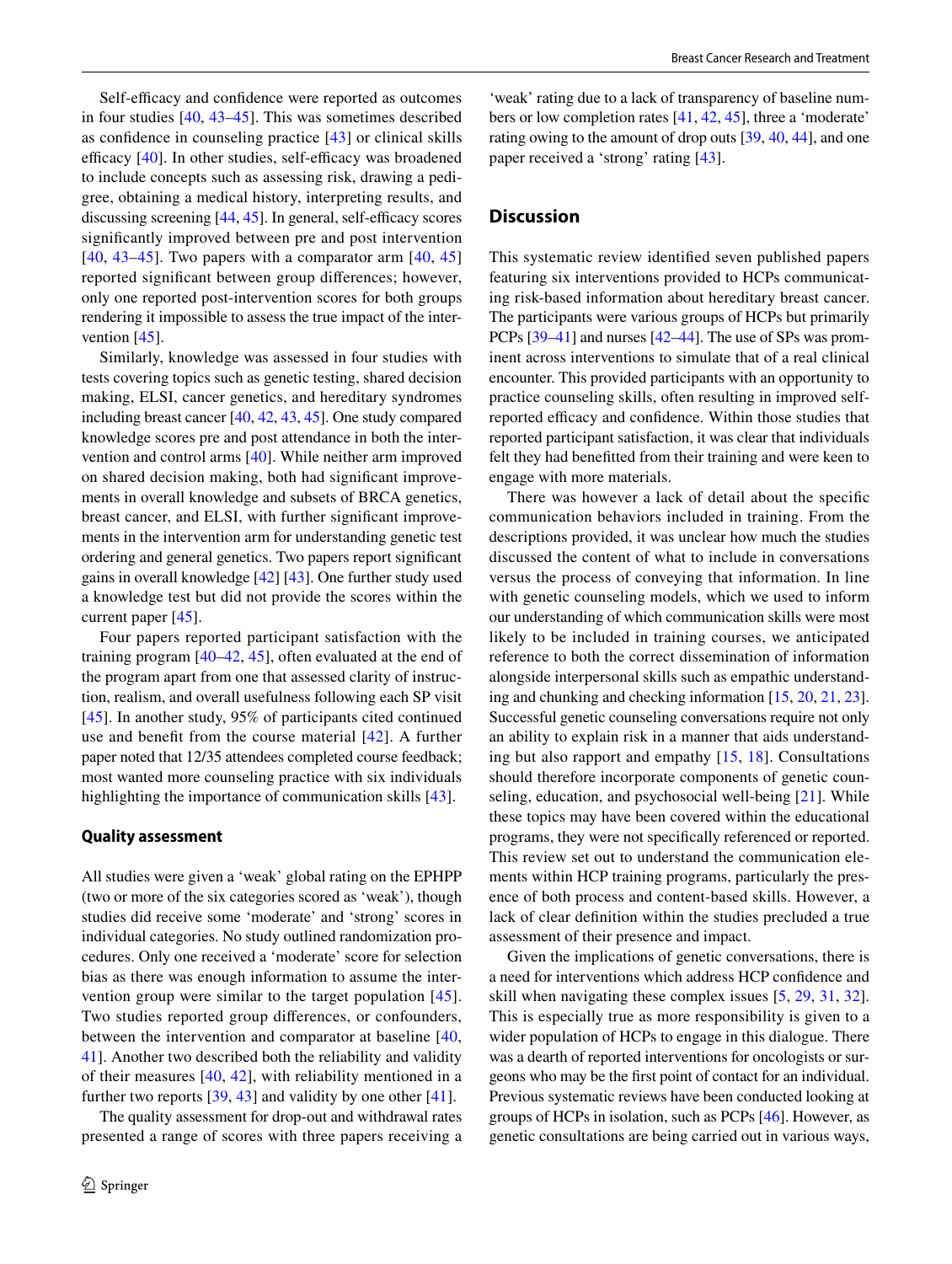Self-efficacy and confidence were reported as outcomes in four studies [\[40,](#page-13-13) [43](#page-13-17)[–45](#page-13-18)]. This was sometimes described as confdence in counseling practice [\[43\]](#page-13-17) or clinical skills efficacy  $[40]$  $[40]$ . In other studies, self-efficacy was broadened to include concepts such as assessing risk, drawing a pedigree, obtaining a medical history, interpreting results, and discussing screening  $[44, 45]$  $[44, 45]$  $[44, 45]$  $[44, 45]$ . In general, self-efficacy scores signifcantly improved between pre and post intervention  $[40, 43-45]$  $[40, 43-45]$  $[40, 43-45]$  $[40, 43-45]$  $[40, 43-45]$ . Two papers with a comparator arm  $[40, 45]$  $[40, 45]$  $[40, 45]$ reported signifcant between group diferences; however, only one reported post-intervention scores for both groups rendering it impossible to assess the true impact of the inter-vention [[45](#page-13-18)].

Similarly, knowledge was assessed in four studies with tests covering topics such as genetic testing, shared decision making, ELSI, cancer genetics, and hereditary syndromes including breast cancer [\[40,](#page-13-13) [42](#page-13-15), [43,](#page-13-17) [45](#page-13-18)]. One study compared knowledge scores pre and post attendance in both the intervention and control arms [[40\]](#page-13-13). While neither arm improved on shared decision making, both had signifcant improvements in overall knowledge and subsets of BRCA genetics, breast cancer, and ELSI, with further signifcant improvements in the intervention arm for understanding genetic test ordering and general genetics. Two papers report signifcant gains in overall knowledge [\[42\]](#page-13-15) [[43\]](#page-13-17). One further study used a knowledge test but did not provide the scores within the current paper [[45\]](#page-13-18).

Four papers reported participant satisfaction with the training program [\[40](#page-13-13)[–42,](#page-13-15) [45\]](#page-13-18), often evaluated at the end of the program apart from one that assessed clarity of instruction, realism, and overall usefulness following each SP visit [\[45\]](#page-13-18). In another study, 95% of participants cited continued use and beneft from the course material [[42](#page-13-15)]. A further paper noted that 12/35 attendees completed course feedback; most wanted more counseling practice with six individuals highlighting the importance of communication skills [\[43\]](#page-13-17).

#### **Quality assessment**

All studies were given a 'weak' global rating on the EPHPP (two or more of the six categories scored as 'weak'), though studies did receive some 'moderate' and 'strong' scores in individual categories. No study outlined randomization procedures. Only one received a 'moderate' score for selection bias as there was enough information to assume the intervention group were similar to the target population [[45](#page-13-18)]. Two studies reported group diferences, or confounders, between the intervention and comparator at baseline [\[40,](#page-13-13) [41](#page-13-14)]. Another two described both the reliability and validity of their measures  $[40, 42]$  $[40, 42]$  $[40, 42]$  $[40, 42]$ , with reliability mentioned in a further two reports [[39,](#page-13-12) [43\]](#page-13-17) and validity by one other [[41\]](#page-13-14).

The quality assessment for drop-out and withdrawal rates presented a range of scores with three papers receiving a

'weak' rating due to a lack of transparency of baseline numbers or low completion rates [\[41](#page-13-14), [42,](#page-13-15) [45\]](#page-13-18), three a 'moderate' rating owing to the amount of drop outs [[39](#page-13-12), [40](#page-13-13), [44\]](#page-13-16), and one paper received a 'strong' rating [\[43](#page-13-17)].

# **Discussion**

This systematic review identifed seven published papers featuring six interventions provided to HCPs communicating risk-based information about hereditary breast cancer. The participants were various groups of HCPs but primarily PCPs [\[39–](#page-13-12)[41\]](#page-13-14) and nurses [\[42–](#page-13-15)[44\]](#page-13-16). The use of SPs was prominent across interventions to simulate that of a real clinical encounter. This provided participants with an opportunity to practice counseling skills, often resulting in improved selfreported efficacy and confidence. Within those studies that reported participant satisfaction, it was clear that individuals felt they had beneftted from their training and were keen to engage with more materials.

There was however a lack of detail about the specifc communication behaviors included in training. From the descriptions provided, it was unclear how much the studies discussed the content of what to include in conversations versus the process of conveying that information. In line with genetic counseling models, which we used to inform our understanding of which communication skills were most likely to be included in training courses, we anticipated reference to both the correct dissemination of information alongside interpersonal skills such as empathic understanding and chunking and checking information [\[15](#page-12-14), [20,](#page-12-18) [21,](#page-12-22) [23](#page-12-20)]. Successful genetic counseling conversations require not only an ability to explain risk in a manner that aids understanding but also rapport and empathy [[15](#page-12-14), [18](#page-12-16)]. Consultations should therefore incorporate components of genetic counseling, education, and psychosocial well-being [[21](#page-12-22)]. While these topics may have been covered within the educational programs, they were not specifcally referenced or reported. This review set out to understand the communication elements within HCP training programs, particularly the presence of both process and content-based skills. However, a lack of clear defnition within the studies precluded a true assessment of their presence and impact.

Given the implications of genetic conversations, there is a need for interventions which address HCP confdence and skill when navigating these complex issues [\[5](#page-12-8), [29,](#page-13-3) [31,](#page-13-4) [32](#page-13-5)]. This is especially true as more responsibility is given to a wider population of HCPs to engage in this dialogue. There was a dearth of reported interventions for oncologists or surgeons who may be the frst point of contact for an individual. Previous systematic reviews have been conducted looking at groups of HCPs in isolation, such as PCPs [\[46\]](#page-13-19). However, as genetic consultations are being carried out in various ways,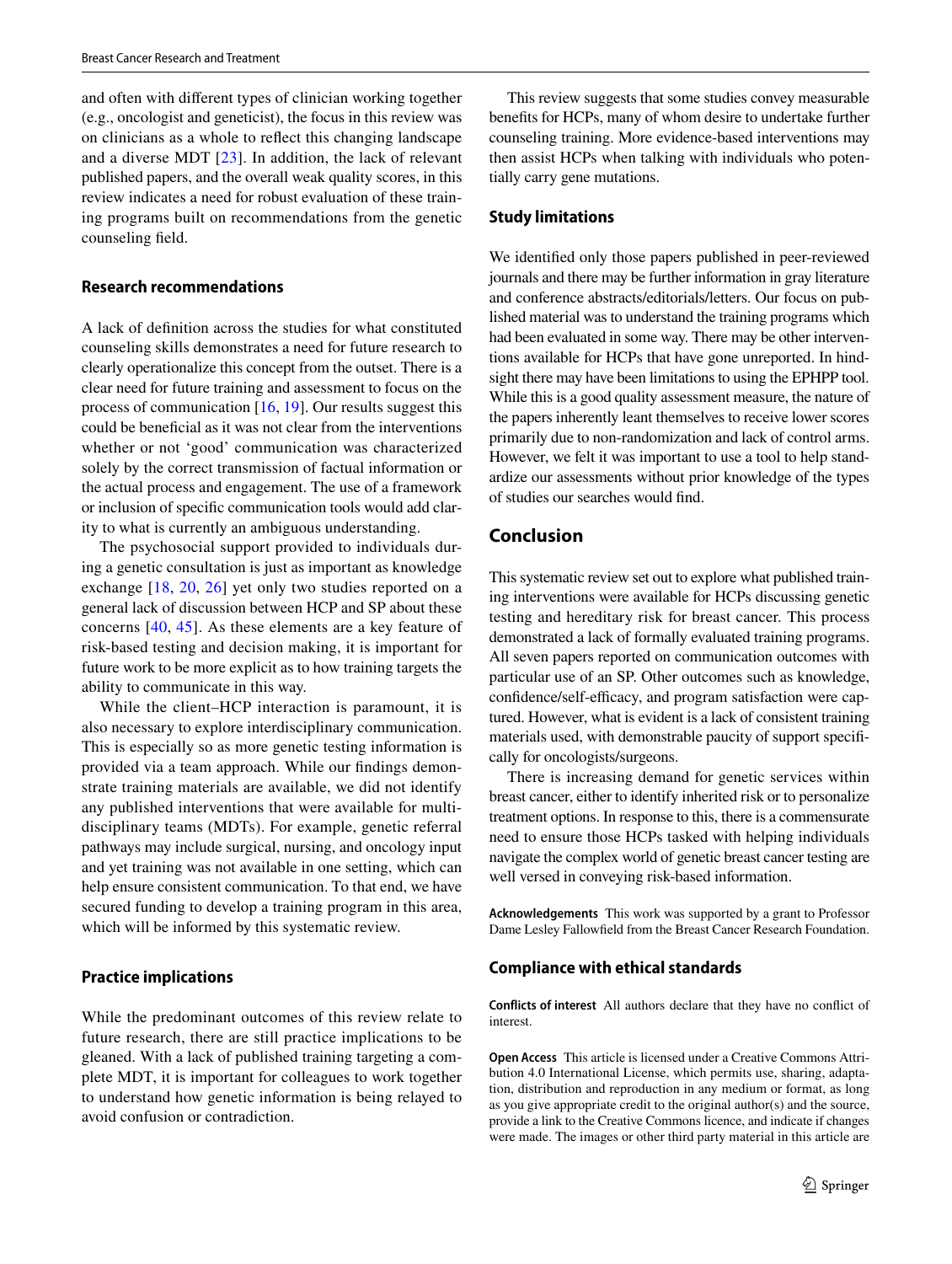and often with diferent types of clinician working together (e.g., oncologist and geneticist), the focus in this review was on clinicians as a whole to refect this changing landscape and a diverse MDT [\[23\]](#page-12-20). In addition, the lack of relevant published papers, and the overall weak quality scores, in this review indicates a need for robust evaluation of these training programs built on recommendations from the genetic counseling feld.

#### **Research recommendations**

A lack of defnition across the studies for what constituted counseling skills demonstrates a need for future research to clearly operationalize this concept from the outset. There is a clear need for future training and assessment to focus on the process of communication [\[16,](#page-12-15) [19](#page-12-17)]. Our results suggest this could be benefcial as it was not clear from the interventions whether or not 'good' communication was characterized solely by the correct transmission of factual information or the actual process and engagement. The use of a framework or inclusion of specifc communication tools would add clarity to what is currently an ambiguous understanding.

The psychosocial support provided to individuals during a genetic consultation is just as important as knowledge exchange [[18](#page-12-16), [20,](#page-12-18) [26\]](#page-13-0) yet only two studies reported on a general lack of discussion between HCP and SP about these concerns [\[40,](#page-13-13) [45\]](#page-13-18). As these elements are a key feature of risk-based testing and decision making, it is important for future work to be more explicit as to how training targets the ability to communicate in this way.

While the client–HCP interaction is paramount, it is also necessary to explore interdisciplinary communication. This is especially so as more genetic testing information is provided via a team approach. While our fndings demonstrate training materials are available, we did not identify any published interventions that were available for multidisciplinary teams (MDTs). For example, genetic referral pathways may include surgical, nursing, and oncology input and yet training was not available in one setting, which can help ensure consistent communication. To that end, we have secured funding to develop a training program in this area, which will be informed by this systematic review.

#### **Practice implications**

While the predominant outcomes of this review relate to future research, there are still practice implications to be gleaned. With a lack of published training targeting a complete MDT, it is important for colleagues to work together to understand how genetic information is being relayed to avoid confusion or contradiction.

This review suggests that some studies convey measurable benefts for HCPs, many of whom desire to undertake further counseling training. More evidence-based interventions may then assist HCPs when talking with individuals who potentially carry gene mutations.

#### **Study limitations**

We identifed only those papers published in peer-reviewed journals and there may be further information in gray literature and conference abstracts/editorials/letters. Our focus on published material was to understand the training programs which had been evaluated in some way. There may be other interventions available for HCPs that have gone unreported. In hindsight there may have been limitations to using the EPHPP tool. While this is a good quality assessment measure, the nature of the papers inherently leant themselves to receive lower scores primarily due to non-randomization and lack of control arms. However, we felt it was important to use a tool to help standardize our assessments without prior knowledge of the types of studies our searches would fnd.

### **Conclusion**

This systematic review set out to explore what published training interventions were available for HCPs discussing genetic testing and hereditary risk for breast cancer. This process demonstrated a lack of formally evaluated training programs. All seven papers reported on communication outcomes with particular use of an SP. Other outcomes such as knowledge, confidence/self-efficacy, and program satisfaction were captured. However, what is evident is a lack of consistent training materials used, with demonstrable paucity of support specifcally for oncologists/surgeons.

There is increasing demand for genetic services within breast cancer, either to identify inherited risk or to personalize treatment options. In response to this, there is a commensurate need to ensure those HCPs tasked with helping individuals navigate the complex world of genetic breast cancer testing are well versed in conveying risk-based information.

**Acknowledgements** This work was supported by a grant to Professor Dame Lesley Fallowfeld from the Breast Cancer Research Foundation.

#### **Compliance with ethical standards**

**Conflicts of interest** All authors declare that they have no confict of interest.

**Open Access** This article is licensed under a Creative Commons Attribution 4.0 International License, which permits use, sharing, adaptation, distribution and reproduction in any medium or format, as long as you give appropriate credit to the original author(s) and the source, provide a link to the Creative Commons licence, and indicate if changes were made. The images or other third party material in this article are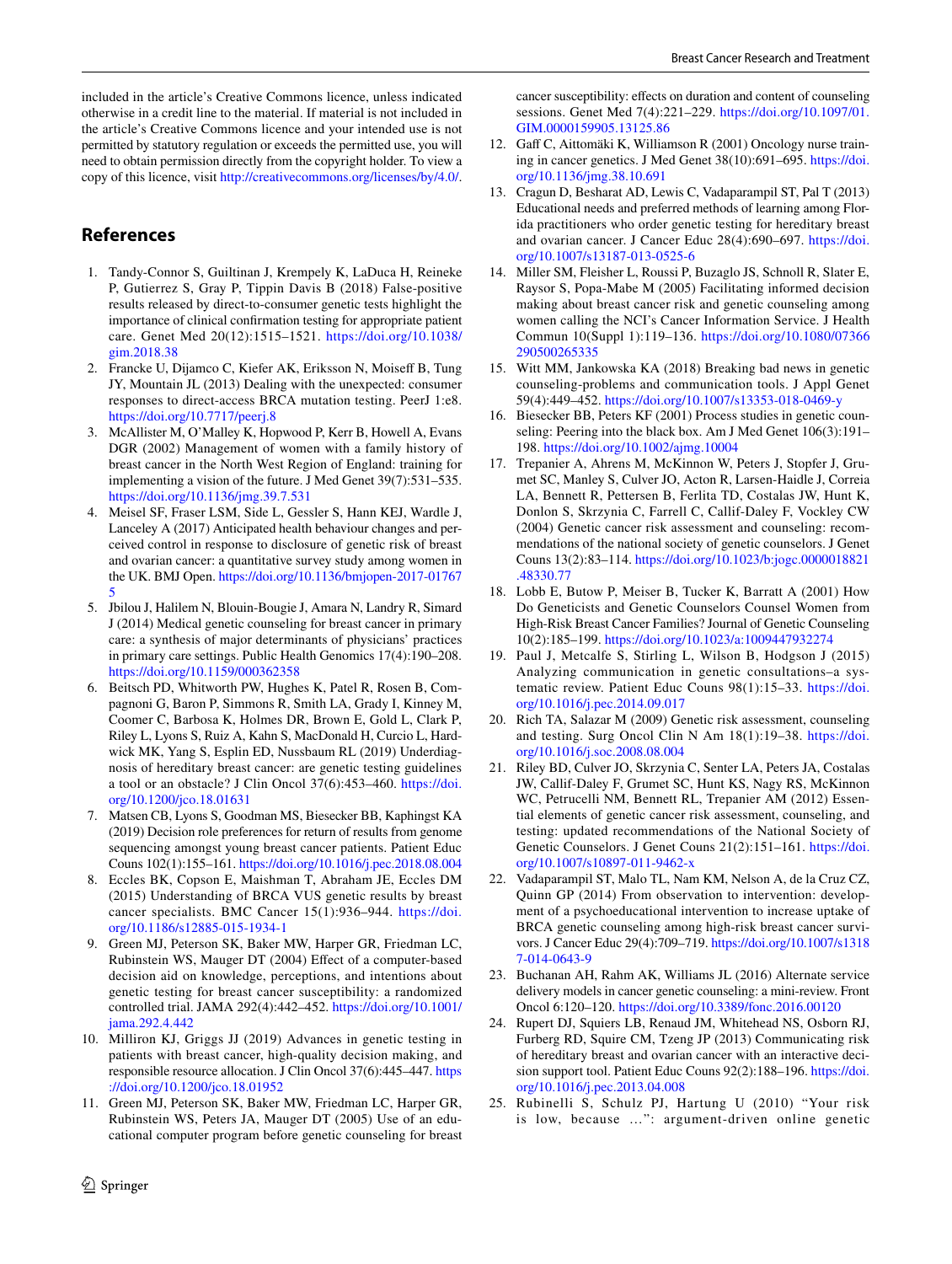included in the article's Creative Commons licence, unless indicated otherwise in a credit line to the material. If material is not included in the article's Creative Commons licence and your intended use is not permitted by statutory regulation or exceeds the permitted use, you will need to obtain permission directly from the copyright holder. To view a copy of this licence, visit <http://creativecommons.org/licenses/by/4.0/>.

# **References**

- <span id="page-12-0"></span>1. Tandy-Connor S, Guiltinan J, Krempely K, LaDuca H, Reineke P, Gutierrez S, Gray P, Tippin Davis B (2018) False-positive results released by direct-to-consumer genetic tests highlight the importance of clinical confrmation testing for appropriate patient care. Genet Med 20(12):1515–1521. [https://doi.org/10.1038/](https://doi.org/10.1038/gim.2018.38) [gim.2018.38](https://doi.org/10.1038/gim.2018.38)
- <span id="page-12-1"></span>2. Francke U, Dijamco C, Kiefer AK, Eriksson N, Moiseff B, Tung JY, Mountain JL (2013) Dealing with the unexpected: consumer responses to direct-access BRCA mutation testing. PeerJ 1:e8. <https://doi.org/10.7717/peerj.8>
- <span id="page-12-2"></span>3. McAllister M, O'Malley K, Hopwood P, Kerr B, Howell A, Evans DGR (2002) Management of women with a family history of breast cancer in the North West Region of England: training for implementing a vision of the future. J Med Genet 39(7):531–535. <https://doi.org/10.1136/jmg.39.7.531>
- <span id="page-12-12"></span>4. Meisel SF, Fraser LSM, Side L, Gessler S, Hann KEJ, Wardle J, Lanceley A (2017) Anticipated health behaviour changes and perceived control in response to disclosure of genetic risk of breast and ovarian cancer: a quantitative survey study among women in the UK. BMJ Open. [https://doi.org/10.1136/bmjopen-2017-01767](https://doi.org/10.1136/bmjopen-2017-017675) [5](https://doi.org/10.1136/bmjopen-2017-017675)
- <span id="page-12-8"></span>5. Jbilou J, Halilem N, Blouin-Bougie J, Amara N, Landry R, Simard J (2014) Medical genetic counseling for breast cancer in primary care: a synthesis of major determinants of physicians' practices in primary care settings. Public Health Genomics 17(4):190–208. <https://doi.org/10.1159/000362358>
- <span id="page-12-3"></span>6. Beitsch PD, Whitworth PW, Hughes K, Patel R, Rosen B, Compagnoni G, Baron P, Simmons R, Smith LA, Grady I, Kinney M, Coomer C, Barbosa K, Holmes DR, Brown E, Gold L, Clark P, Riley L, Lyons S, Ruiz A, Kahn S, MacDonald H, Curcio L, Hardwick MK, Yang S, Esplin ED, Nussbaum RL (2019) Underdiagnosis of hereditary breast cancer: are genetic testing guidelines a tool or an obstacle? J Clin Oncol 37(6):453–460. [https://doi.](https://doi.org/10.1200/jco.18.01631) [org/10.1200/jco.18.01631](https://doi.org/10.1200/jco.18.01631)
- <span id="page-12-4"></span>7. Matsen CB, Lyons S, Goodman MS, Biesecker BB, Kaphingst KA (2019) Decision role preferences for return of results from genome sequencing amongst young breast cancer patients. Patient Educ Couns 102(1):155–161. <https://doi.org/10.1016/j.pec.2018.08.004>
- <span id="page-12-9"></span>8. Eccles BK, Copson E, Maishman T, Abraham JE, Eccles DM (2015) Understanding of BRCA VUS genetic results by breast cancer specialists. BMC Cancer 15(1):936–944. [https://doi.](https://doi.org/10.1186/s12885-015-1934-1) [org/10.1186/s12885-015-1934-1](https://doi.org/10.1186/s12885-015-1934-1)
- <span id="page-12-5"></span>9. Green MJ, Peterson SK, Baker MW, Harper GR, Friedman LC, Rubinstein WS, Mauger DT (2004) Efect of a computer-based decision aid on knowledge, perceptions, and intentions about genetic testing for breast cancer susceptibility: a randomized controlled trial. JAMA 292(4):442–452. [https://doi.org/10.1001/](https://doi.org/10.1001/jama.292.4.442) [jama.292.4.442](https://doi.org/10.1001/jama.292.4.442)
- <span id="page-12-7"></span>10. Milliron KJ, Griggs JJ (2019) Advances in genetic testing in patients with breast cancer, high-quality decision making, and responsible resource allocation. J Clin Oncol 37(6):445–447. [https](https://doi.org/10.1200/jco.18.01952) [://doi.org/10.1200/jco.18.01952](https://doi.org/10.1200/jco.18.01952)
- <span id="page-12-6"></span>11. Green MJ, Peterson SK, Baker MW, Friedman LC, Harper GR, Rubinstein WS, Peters JA, Mauger DT (2005) Use of an educational computer program before genetic counseling for breast

 $\circled{2}$  Springer

cancer susceptibility: effects on duration and content of counseling sessions. Genet Med 7(4):221–229. [https://doi.org/10.1097/01.](https://doi.org/10.1097/01.GIM.0000159905.13125.86) [GIM.0000159905.13125.86](https://doi.org/10.1097/01.GIM.0000159905.13125.86)

- <span id="page-12-10"></span>12. Gaf C, Aittomäki K, Williamson R (2001) Oncology nurse training in cancer genetics. J Med Genet 38(10):691–695. [https://doi.](https://doi.org/10.1136/jmg.38.10.691) [org/10.1136/jmg.38.10.691](https://doi.org/10.1136/jmg.38.10.691)
- <span id="page-12-11"></span>13. Cragun D, Besharat AD, Lewis C, Vadaparampil ST, Pal T (2013) Educational needs and preferred methods of learning among Florida practitioners who order genetic testing for hereditary breast and ovarian cancer. J Cancer Educ 28(4):690–697. [https://doi.](https://doi.org/10.1007/s13187-013-0525-6) [org/10.1007/s13187-013-0525-6](https://doi.org/10.1007/s13187-013-0525-6)
- <span id="page-12-13"></span>14. Miller SM, Fleisher L, Roussi P, Buzaglo JS, Schnoll R, Slater E, Raysor S, Popa-Mabe M (2005) Facilitating informed decision making about breast cancer risk and genetic counseling among women calling the NCI's Cancer Information Service. J Health Commun 10(Suppl 1):119–136. [https://doi.org/10.1080/07366](https://doi.org/10.1080/07366290500265335) [290500265335](https://doi.org/10.1080/07366290500265335)
- <span id="page-12-14"></span>15. Witt MM, Jankowska KA (2018) Breaking bad news in genetic counseling-problems and communication tools. J Appl Genet 59(4):449–452.<https://doi.org/10.1007/s13353-018-0469-y>
- <span id="page-12-15"></span>16. Biesecker BB, Peters KF (2001) Process studies in genetic counseling: Peering into the black box. Am J Med Genet 106(3):191– 198.<https://doi.org/10.1002/ajmg.10004>
- <span id="page-12-21"></span>17. Trepanier A, Ahrens M, McKinnon W, Peters J, Stopfer J, Grumet SC, Manley S, Culver JO, Acton R, Larsen-Haidle J, Correia LA, Bennett R, Pettersen B, Ferlita TD, Costalas JW, Hunt K, Donlon S, Skrzynia C, Farrell C, Callif-Daley F, Vockley CW (2004) Genetic cancer risk assessment and counseling: recommendations of the national society of genetic counselors. J Genet Couns 13(2):83–114. [https://doi.org/10.1023/b:jogc.0000018821](https://doi.org/10.1023/b:jogc.0000018821.48330.77) [.48330.77](https://doi.org/10.1023/b:jogc.0000018821.48330.77)
- <span id="page-12-16"></span>18. Lobb E, Butow P, Meiser B, Tucker K, Barratt A (2001) How Do Geneticists and Genetic Counselors Counsel Women from High-Risk Breast Cancer Families? Journal of Genetic Counseling 10(2):185–199.<https://doi.org/10.1023/a:1009447932274>
- <span id="page-12-17"></span>19. Paul J, Metcalfe S, Stirling L, Wilson B, Hodgson J (2015) Analyzing communication in genetic consultations–a systematic review. Patient Educ Couns 98(1):15–33. [https://doi.](https://doi.org/10.1016/j.pec.2014.09.017) [org/10.1016/j.pec.2014.09.017](https://doi.org/10.1016/j.pec.2014.09.017)
- <span id="page-12-18"></span>20. Rich TA, Salazar M (2009) Genetic risk assessment, counseling and testing. Surg Oncol Clin N Am 18(1):19–38. [https://doi.](https://doi.org/10.1016/j.soc.2008.08.004) [org/10.1016/j.soc.2008.08.004](https://doi.org/10.1016/j.soc.2008.08.004)
- <span id="page-12-22"></span>21. Riley BD, Culver JO, Skrzynia C, Senter LA, Peters JA, Costalas JW, Callif-Daley F, Grumet SC, Hunt KS, Nagy RS, McKinnon WC, Petrucelli NM, Bennett RL, Trepanier AM (2012) Essential elements of genetic cancer risk assessment, counseling, and testing: updated recommendations of the National Society of Genetic Counselors. J Genet Couns 21(2):151–161. [https://doi.](https://doi.org/10.1007/s10897-011-9462-x) [org/10.1007/s10897-011-9462-x](https://doi.org/10.1007/s10897-011-9462-x)
- <span id="page-12-19"></span>22. Vadaparampil ST, Malo TL, Nam KM, Nelson A, de la Cruz CZ, Quinn GP (2014) From observation to intervention: development of a psychoeducational intervention to increase uptake of BRCA genetic counseling among high-risk breast cancer survivors. J Cancer Educ 29(4):709–719. [https://doi.org/10.1007/s1318](https://doi.org/10.1007/s13187-014-0643-9) [7-014-0643-9](https://doi.org/10.1007/s13187-014-0643-9)
- <span id="page-12-20"></span>23. Buchanan AH, Rahm AK, Williams JL (2016) Alternate service delivery models in cancer genetic counseling: a mini-review. Front Oncol 6:120–120.<https://doi.org/10.3389/fonc.2016.00120>
- <span id="page-12-23"></span>24. Rupert DJ, Squiers LB, Renaud JM, Whitehead NS, Osborn RJ, Furberg RD, Squire CM, Tzeng JP (2013) Communicating risk of hereditary breast and ovarian cancer with an interactive decision support tool. Patient Educ Couns 92(2):188–196. [https://doi.](https://doi.org/10.1016/j.pec.2013.04.008) [org/10.1016/j.pec.2013.04.008](https://doi.org/10.1016/j.pec.2013.04.008)
- <span id="page-12-24"></span>25. Rubinelli S, Schulz PJ, Hartung U (2010) "Your risk is low, because …": argument-driven online genetic